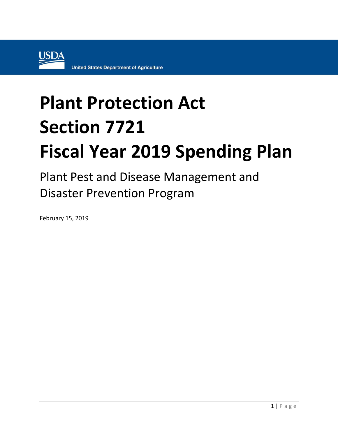

## **Plant Protection Act Section 7721 Fiscal Year 2019 Spending Plan**

Plant Pest and Disease Management and Disaster Prevention Program

February 15, 2019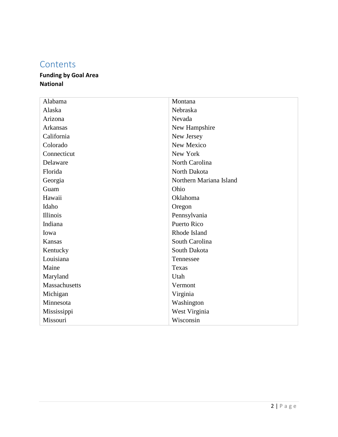## **Contents**

## **Funding by Goal Area National**

| Montana                 |
|-------------------------|
| Nebraska                |
| Nevada                  |
| New Hampshire           |
| New Jersey              |
| New Mexico              |
| New York                |
| North Carolina          |
| North Dakota            |
| Northern Mariana Island |
| Ohio                    |
| Oklahoma                |
| Oregon                  |
| Pennsylvania            |
| <b>Puerto Rico</b>      |
| Rhode Island            |
| South Carolina          |
| South Dakota            |
| Tennessee               |
| Texas                   |
| Utah                    |
| Vermont                 |
| Virginia                |
| Washington              |
| West Virginia           |
| Wisconsin               |
|                         |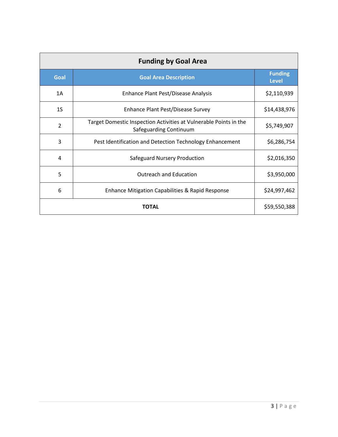| <b>Funding by Goal Area</b> |                                                                                             |              |  |  |
|-----------------------------|---------------------------------------------------------------------------------------------|--------------|--|--|
| Goal                        | <b>Goal Area Description</b>                                                                |              |  |  |
| 1A                          | Enhance Plant Pest/Disease Analysis                                                         | \$2,110,939  |  |  |
| 1 <sub>S</sub>              | Enhance Plant Pest/Disease Survey                                                           | \$14,438,976 |  |  |
| 2                           | Target Domestic Inspection Activities at Vulnerable Points in the<br>Safeguarding Continuum | \$5,749,907  |  |  |
| 3                           | Pest Identification and Detection Technology Enhancement                                    | \$6,286,754  |  |  |
| 4                           | Safeguard Nursery Production                                                                | \$2,016,350  |  |  |
| 5                           | <b>Outreach and Education</b>                                                               | \$3,950,000  |  |  |
| 6                           | <b>Enhance Mitigation Capabilities &amp; Rapid Response</b>                                 | \$24,997,462 |  |  |
|                             | \$59,550,388                                                                                |              |  |  |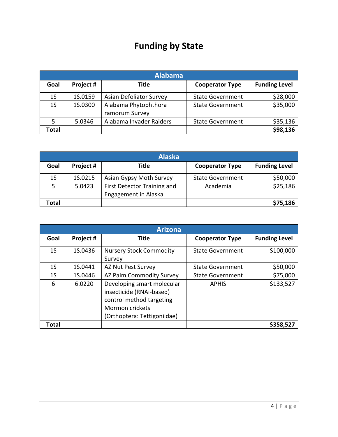## **Funding by State**

|                | <b>Alabama</b> |                                        |                         |                      |  |
|----------------|----------------|----------------------------------------|-------------------------|----------------------|--|
| Goal           | Project #      | Title                                  | <b>Cooperator Type</b>  | <b>Funding Level</b> |  |
| 1 <sub>S</sub> | 1S.0159        | Asian Defoliator Survey                | <b>State Government</b> | \$28,000             |  |
| 1 <sub>S</sub> | 1S.0300        | Alabama Phytophthora<br>ramorum Survey | <b>State Government</b> | \$35,000             |  |
|                | 5.0346         | Alabama Invader Raiders                | <b>State Government</b> | \$35,136             |  |
| Total          |                |                                        |                         | \$98,136             |  |

|       | <b>Alaska</b> |                             |                         |                      |  |  |
|-------|---------------|-----------------------------|-------------------------|----------------------|--|--|
| Goal  | Project #     | Title                       | <b>Cooperator Type</b>  | <b>Funding Level</b> |  |  |
| 1S    | 1S.0215       | Asian Gypsy Moth Survey     | <b>State Government</b> | \$50,000             |  |  |
| 5     | 5.0423        | First Detector Training and | Academia                | \$25,186             |  |  |
|       |               | Engagement in Alaska        |                         |                      |  |  |
| Total |               |                             |                         | \$75,186             |  |  |

|                | <b>Arizona</b> |                                                                                                                                      |                         |                      |  |  |
|----------------|----------------|--------------------------------------------------------------------------------------------------------------------------------------|-------------------------|----------------------|--|--|
| Goal           | Project #      | Title                                                                                                                                | <b>Cooperator Type</b>  | <b>Funding Level</b> |  |  |
| 1 <sub>S</sub> | 1S.0436        | <b>Nursery Stock Commodity</b><br>Survey                                                                                             | <b>State Government</b> | \$100,000            |  |  |
| 1S             | 1S.0441        | AZ Nut Pest Survey                                                                                                                   | <b>State Government</b> | \$50,000             |  |  |
| 1 <sub>S</sub> | 1S.0446        | AZ Palm Commodity Survey                                                                                                             | <b>State Government</b> | \$75,000             |  |  |
| 6              | 6.0220         | Developing smart molecular<br>insecticide (RNAi-based)<br>control method targeting<br>Mormon crickets<br>(Orthoptera: Tettigoniidae) | <b>APHIS</b>            | \$133,527            |  |  |
| Total          |                |                                                                                                                                      |                         | \$358,527            |  |  |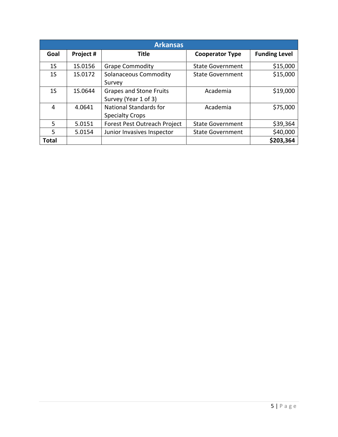|                | <b>Arkansas</b> |                                                         |                         |                      |  |  |
|----------------|-----------------|---------------------------------------------------------|-------------------------|----------------------|--|--|
| Goal           | Project #       | <b>Title</b>                                            | <b>Cooperator Type</b>  | <b>Funding Level</b> |  |  |
| 1 <sub>S</sub> | 1S.0156         | <b>Grape Commodity</b>                                  | <b>State Government</b> | \$15,000             |  |  |
| 1 <sub>S</sub> | 1S.0172         | <b>Solanaceous Commodity</b><br>Survey                  | <b>State Government</b> | \$15,000             |  |  |
| 1 <sub>S</sub> | 1S.0644         | <b>Grapes and Stone Fruits</b><br>Survey (Year 1 of 3)  | Academia                | \$19,000             |  |  |
| 4              | 4.0641          | <b>National Standards for</b><br><b>Specialty Crops</b> | Academia                | \$75,000             |  |  |
| 5              | 5.0151          | Forest Pest Outreach Project                            | <b>State Government</b> | \$39,364             |  |  |
| 5              | 5.0154          | Junior Invasives Inspector                              | <b>State Government</b> | \$40,000             |  |  |
| <b>Total</b>   |                 |                                                         |                         | \$203,364            |  |  |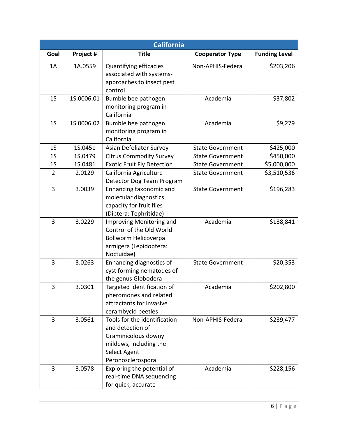| California               |                            |                                                                                                                                                                                                                                                                                                                                                                                                                                            |                                           |                                                 |
|--------------------------|----------------------------|--------------------------------------------------------------------------------------------------------------------------------------------------------------------------------------------------------------------------------------------------------------------------------------------------------------------------------------------------------------------------------------------------------------------------------------------|-------------------------------------------|-------------------------------------------------|
| Goal                     | Project #                  | <b>Title</b>                                                                                                                                                                                                                                                                                                                                                                                                                               | <b>Cooperator Type</b>                    | <b>Funding Level</b>                            |
| 1A                       | 1A.0559                    | Quantifying efficacies                                                                                                                                                                                                                                                                                                                                                                                                                     | Non-APHIS-Federal                         | \$203,206                                       |
|                          |                            | associated with systems-                                                                                                                                                                                                                                                                                                                                                                                                                   |                                           |                                                 |
|                          |                            | approaches to insect pest                                                                                                                                                                                                                                                                                                                                                                                                                  |                                           |                                                 |
|                          |                            | control                                                                                                                                                                                                                                                                                                                                                                                                                                    |                                           |                                                 |
| 1 <sub>S</sub>           | 1S.0006.01                 | Bumble bee pathogen                                                                                                                                                                                                                                                                                                                                                                                                                        | Academia                                  | \$37,802                                        |
|                          |                            | monitoring program in                                                                                                                                                                                                                                                                                                                                                                                                                      |                                           |                                                 |
|                          |                            | California                                                                                                                                                                                                                                                                                                                                                                                                                                 |                                           |                                                 |
| 1 <sub>S</sub>           | 1S.0006.02                 | Bumble bee pathogen                                                                                                                                                                                                                                                                                                                                                                                                                        | Academia                                  | \$9,279                                         |
|                          |                            | monitoring program in<br>California                                                                                                                                                                                                                                                                                                                                                                                                        |                                           |                                                 |
| 1 <sub>S</sub>           | 1S.0451                    | Asian Defoliator Survey                                                                                                                                                                                                                                                                                                                                                                                                                    | <b>State Government</b>                   | \$425,000                                       |
| 1 <sub>S</sub>           | 1S.0479                    | <b>Citrus Commodity Survey</b>                                                                                                                                                                                                                                                                                                                                                                                                             | <b>State Government</b>                   | \$450,000                                       |
| 1 <sub>S</sub>           | 1S.0481                    | <b>Exotic Fruit Fly Detection</b>                                                                                                                                                                                                                                                                                                                                                                                                          | <b>State Government</b>                   | \$5,000,000                                     |
| $\overline{2}$           | 2.0129                     | California Agriculture                                                                                                                                                                                                                                                                                                                                                                                                                     | <b>State Government</b>                   | \$3,510,536                                     |
|                          |                            | Detector Dog Team Program                                                                                                                                                                                                                                                                                                                                                                                                                  |                                           |                                                 |
| 3                        | 3.0039                     | Enhancing taxonomic and                                                                                                                                                                                                                                                                                                                                                                                                                    | <b>State Government</b>                   | \$196,283                                       |
|                          |                            |                                                                                                                                                                                                                                                                                                                                                                                                                                            |                                           |                                                 |
|                          |                            |                                                                                                                                                                                                                                                                                                                                                                                                                                            |                                           |                                                 |
|                          |                            | (Diptera: Tephritidae)                                                                                                                                                                                                                                                                                                                                                                                                                     |                                           |                                                 |
| 3                        | 3.0229                     | Improving Monitoring and                                                                                                                                                                                                                                                                                                                                                                                                                   | Academia                                  | \$138,841                                       |
|                          |                            | Control of the Old World                                                                                                                                                                                                                                                                                                                                                                                                                   |                                           |                                                 |
|                          |                            | Bollworm Helicoverpa                                                                                                                                                                                                                                                                                                                                                                                                                       |                                           |                                                 |
|                          |                            | armigera (Lepidoptera:                                                                                                                                                                                                                                                                                                                                                                                                                     |                                           |                                                 |
|                          |                            | Noctuidae)                                                                                                                                                                                                                                                                                                                                                                                                                                 |                                           |                                                 |
| 3                        | 3.0263                     | Enhancing diagnostics of                                                                                                                                                                                                                                                                                                                                                                                                                   | <b>State Government</b>                   |                                                 |
|                          |                            |                                                                                                                                                                                                                                                                                                                                                                                                                                            |                                           |                                                 |
|                          |                            |                                                                                                                                                                                                                                                                                                                                                                                                                                            |                                           |                                                 |
|                          |                            |                                                                                                                                                                                                                                                                                                                                                                                                                                            |                                           |                                                 |
|                          |                            |                                                                                                                                                                                                                                                                                                                                                                                                                                            |                                           |                                                 |
|                          |                            |                                                                                                                                                                                                                                                                                                                                                                                                                                            |                                           |                                                 |
|                          |                            |                                                                                                                                                                                                                                                                                                                                                                                                                                            |                                           |                                                 |
|                          |                            |                                                                                                                                                                                                                                                                                                                                                                                                                                            |                                           |                                                 |
|                          |                            |                                                                                                                                                                                                                                                                                                                                                                                                                                            |                                           |                                                 |
|                          |                            |                                                                                                                                                                                                                                                                                                                                                                                                                                            |                                           |                                                 |
|                          |                            |                                                                                                                                                                                                                                                                                                                                                                                                                                            |                                           |                                                 |
|                          |                            |                                                                                                                                                                                                                                                                                                                                                                                                                                            |                                           |                                                 |
|                          |                            |                                                                                                                                                                                                                                                                                                                                                                                                                                            |                                           |                                                 |
|                          |                            |                                                                                                                                                                                                                                                                                                                                                                                                                                            |                                           |                                                 |
|                          |                            |                                                                                                                                                                                                                                                                                                                                                                                                                                            |                                           |                                                 |
| 3<br>$\overline{3}$<br>3 | 3.0301<br>3.0561<br>3.0578 | molecular diagnostics<br>capacity for fruit flies<br>cyst forming nematodes of<br>the genus Globodera<br>Targeted identification of<br>pheromones and related<br>attractants for invasive<br>cerambycid beetles<br>Tools for the identification<br>and detection of<br>Graminicolous downy<br>mildews, including the<br>Select Agent<br>Peronosclerospora<br>Exploring the potential of<br>real-time DNA sequencing<br>for quick, accurate | Academia<br>Non-APHIS-Federal<br>Academia | \$20,353<br>\$202,800<br>\$239,477<br>\$228,156 |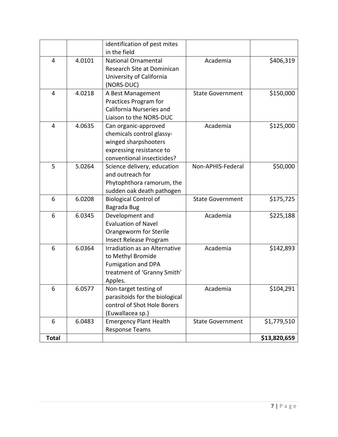|              |        | identification of pest mites         |                         |              |
|--------------|--------|--------------------------------------|-------------------------|--------------|
|              |        | in the field                         |                         |              |
| 4            | 4.0101 | <b>National Ornamental</b>           | Academia                | \$406,319    |
|              |        | Research Site at Dominican           |                         |              |
|              |        | University of California             |                         |              |
|              |        | (NORS-DUC)                           |                         |              |
| 4            | 4.0218 | A Best Management                    | <b>State Government</b> | \$150,000    |
|              |        | Practices Program for                |                         |              |
|              |        | California Nurseries and             |                         |              |
|              |        | Liaison to the NORS-DUC              |                         |              |
| 4            | 4.0635 | Can organic-approved                 | Academia                | \$125,000    |
|              |        | chemicals control glassy-            |                         |              |
|              |        | winged sharpshooters                 |                         |              |
|              |        | expressing resistance to             |                         |              |
|              |        | conventional insecticides?           |                         |              |
| 5            | 5.0264 | Science delivery, education          | Non-APHIS-Federal       | \$50,000     |
|              |        | and outreach for                     |                         |              |
|              |        | Phytophthora ramorum, the            |                         |              |
|              |        | sudden oak death pathogen            |                         |              |
| 6            | 6.0208 | <b>Biological Control of</b>         | <b>State Government</b> | \$175,725    |
|              |        | Bagrada Bug                          |                         |              |
| 6            | 6.0345 | Development and                      | Academia                | \$225,188    |
|              |        | <b>Evaluation of Navel</b>           |                         |              |
|              |        | Orangeworm for Sterile               |                         |              |
|              |        | Insect Release Program               |                         |              |
| 6            | 6.0364 | <b>Irradiation as an Alternative</b> | Academia                | \$142,893    |
|              |        | to Methyl Bromide                    |                         |              |
|              |        | Fumigation and DPA                   |                         |              |
|              |        | treatment of 'Granny Smith'          |                         |              |
|              |        | Apples.                              |                         |              |
| 6            | 6.0577 | Non-target testing of                | Academia                | \$104,291    |
|              |        | parasitoids for the biological       |                         |              |
|              |        | control of Shot Hole Borers          |                         |              |
|              |        | (Euwallacea sp.)                     |                         |              |
| 6            | 6.0483 | <b>Emergency Plant Health</b>        | <b>State Government</b> | \$1,779,510  |
|              |        | <b>Response Teams</b>                |                         |              |
| <b>Total</b> |        |                                      |                         | \$13,820,659 |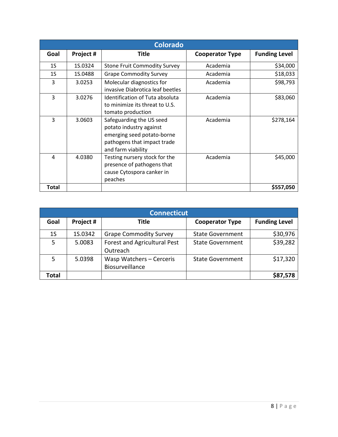| <b>Colorado</b> |           |                                                                                                                                        |                        |                      |
|-----------------|-----------|----------------------------------------------------------------------------------------------------------------------------------------|------------------------|----------------------|
| Goal            | Project # | Title                                                                                                                                  | <b>Cooperator Type</b> | <b>Funding Level</b> |
| 1S              | 1S.0324   | <b>Stone Fruit Commodity Survey</b>                                                                                                    | Academia               | \$34,000             |
| 1 <sub>S</sub>  | 1S.0488   | <b>Grape Commodity Survey</b>                                                                                                          | Academia               | \$18,033             |
| 3               | 3.0253    | Molecular diagnostics for<br>invasive Diabrotica leaf beetles                                                                          | Academia               | \$98,793             |
| 3               | 3.0276    | Identification of Tuta absoluta<br>to minimize its threat to U.S.<br>tomato production                                                 | Academia               | \$83,060             |
| 3               | 3.0603    | Safeguarding the US seed<br>potato industry against<br>emerging seed potato-borne<br>pathogens that impact trade<br>and farm viability | Academia               | \$278,164            |
| 4               | 4.0380    | Testing nursery stock for the<br>presence of pathogens that<br>cause Cytospora canker in<br>peaches                                    | Academia               | \$45,000             |
| <b>Total</b>    |           |                                                                                                                                        |                        | \$557,050            |

| <b>Connecticut</b> |           |                                             |                         |                      |
|--------------------|-----------|---------------------------------------------|-------------------------|----------------------|
| Goal               | Project # | Title                                       | <b>Cooperator Type</b>  | <b>Funding Level</b> |
| 1S                 | 1S.0342   | <b>Grape Commodity Survey</b>               | <b>State Government</b> | \$30,976             |
| .5                 | 5.0083    | Forest and Agricultural Pest<br>Outreach    | <b>State Government</b> | \$39,282             |
|                    | 5.0398    | Wasp Watchers - Cerceris<br>Biosurveillance | <b>State Government</b> | \$17,320             |
| Total              |           |                                             |                         | \$87,578             |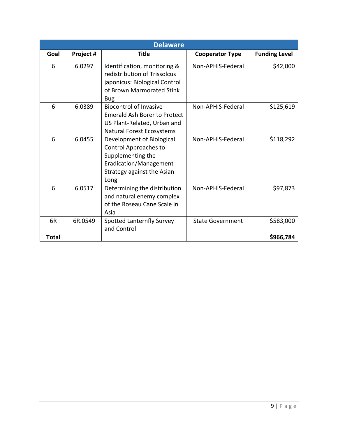|              | <b>Delaware</b> |                                                                                                                                          |                         |                      |  |
|--------------|-----------------|------------------------------------------------------------------------------------------------------------------------------------------|-------------------------|----------------------|--|
| Goal         | Project #       | <b>Title</b>                                                                                                                             | <b>Cooperator Type</b>  | <b>Funding Level</b> |  |
| 6            | 6.0297          | Identification, monitoring &<br>redistribution of Trissolcus<br>japonicus: Biological Control<br>of Brown Marmorated Stink<br><b>Bug</b> | Non-APHIS-Federal       | \$42,000             |  |
| 6            | 6.0389          | <b>Biocontrol of Invasive</b><br><b>Emerald Ash Borer to Protect</b><br>US Plant-Related, Urban and<br>Natural Forest Ecosystems         | Non-APHIS-Federal       | \$125,619            |  |
| 6            | 6.0455          | Development of Biological<br>Control Approaches to<br>Supplementing the<br>Eradication/Management<br>Strategy against the Asian<br>Long  | Non-APHIS-Federal       | \$118,292            |  |
| 6            | 6.0517          | Determining the distribution<br>and natural enemy complex<br>of the Roseau Cane Scale in<br>Asia                                         | Non-APHIS-Federal       | \$97,873             |  |
| 6R           | 6R.0549         | <b>Spotted Lanternfly Survey</b><br>and Control                                                                                          | <b>State Government</b> | \$583,000            |  |
| <b>Total</b> |                 |                                                                                                                                          |                         | \$966,784            |  |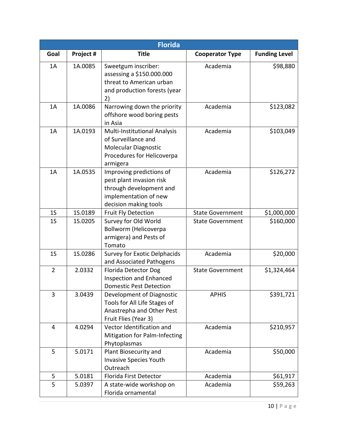|                | <b>Florida</b> |                                                                                                                                   |                         |                      |  |
|----------------|----------------|-----------------------------------------------------------------------------------------------------------------------------------|-------------------------|----------------------|--|
| Goal           | Project #      | <b>Title</b>                                                                                                                      | <b>Cooperator Type</b>  | <b>Funding Level</b> |  |
| 1A             | 1A.0085        | Sweetgum inscriber:<br>assessing a \$150.000.000<br>threat to American urban<br>and production forests (year<br>2)                | Academia                | \$98,880             |  |
| 1A             | 1A.0086        | Narrowing down the priority<br>offshore wood boring pests<br>in Asia                                                              | Academia                | \$123,082            |  |
| 1A             | 1A.0193        | Multi-Institutional Analysis<br>of Surveillance and<br><b>Molecular Diagnostic</b><br>Procedures for Helicoverpa<br>armigera      | Academia                | \$103,049            |  |
| 1A             | 1A.0535        | Improving predictions of<br>pest plant invasion risk<br>through development and<br>implementation of new<br>decision making tools | Academia                | \$126,272            |  |
| 1 <sub>S</sub> | 1S.0189        | <b>Fruit Fly Detection</b>                                                                                                        | <b>State Government</b> | \$1,000,000          |  |
| 1 <sub>S</sub> | 1S.0205        | Survey for Old World<br>Bollworm (Helicoverpa<br>armigera) and Pests of<br>Tomato                                                 | <b>State Government</b> | \$160,000            |  |
| 1 <sub>S</sub> | 15.0286        | Survey for Exotic Delphacids<br>and Associated Pathogens                                                                          | Academia                | \$20,000             |  |
| $\overline{2}$ | 2.0332         | <b>Florida Detector Dog</b><br><b>Inspection and Enhanced</b><br><b>Domestic Pest Detection</b>                                   | <b>State Government</b> | \$1,324,464          |  |
| 3              | 3.0439         | Development of Diagnostic<br>Tools for All Life Stages of<br>Anastrepha and Other Pest<br>Fruit Flies (Year 3)                    | <b>APHIS</b>            | \$391,721            |  |
| $\overline{4}$ | 4.0294         | Vector Identification and<br>Mitigation for Palm-Infecting<br>Phytoplasmas                                                        | Academia                | \$210,957            |  |
| 5              | 5.0171         | Plant Biosecurity and<br><b>Invasive Species Youth</b><br>Outreach                                                                | Academia                | \$50,000             |  |
| 5              | 5.0181         | Florida First Detector                                                                                                            | Academia                | \$61,917             |  |
| 5              | 5.0397         | A state-wide workshop on<br>Florida ornamental                                                                                    | Academia                | \$59,263             |  |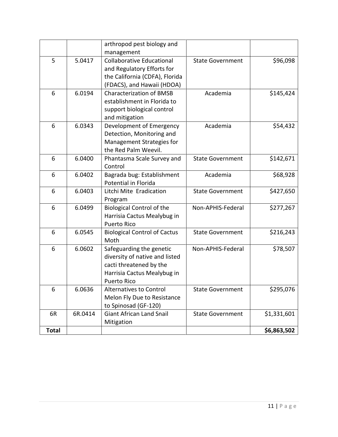|              |         | arthropod pest biology and<br>management                                                                                                   |                         |             |
|--------------|---------|--------------------------------------------------------------------------------------------------------------------------------------------|-------------------------|-------------|
| 5            | 5.0417  | <b>Collaborative Educational</b><br>and Regulatory Efforts for<br>the California (CDFA), Florida<br>(FDACS), and Hawaii (HDOA)             | <b>State Government</b> | \$96,098    |
| 6            | 6.0194  | <b>Characterization of BMSB</b><br>establishment in Florida to<br>support biological control<br>and mitigation                             | Academia                | \$145,424   |
| 6            | 6.0343  | Development of Emergency<br>Detection, Monitoring and<br>Management Strategies for<br>the Red Palm Weevil.                                 | Academia                | \$54,432    |
| 6            | 6.0400  | Phantasma Scale Survey and<br>Control                                                                                                      | <b>State Government</b> | \$142,671   |
| 6            | 6.0402  | Bagrada bug: Establishment<br><b>Potential in Florida</b>                                                                                  | Academia                | \$68,928    |
| 6            | 6.0403  | Litchi Mite Eradication<br>Program                                                                                                         | <b>State Government</b> | \$427,650   |
| 6            | 6.0499  | <b>Biological Control of the</b><br>Harrisia Cactus Mealybug in<br><b>Puerto Rico</b>                                                      | Non-APHIS-Federal       | \$277,267   |
| 6            | 6.0545  | <b>Biological Control of Cactus</b><br>Moth                                                                                                | <b>State Government</b> | \$216,243   |
| 6            | 6.0602  | Safeguarding the genetic<br>diversity of native and listed<br>cacti threatened by the<br>Harrisia Cactus Mealybug in<br><b>Puerto Rico</b> | Non-APHIS-Federal       | \$78,507    |
| 6            | 6.0636  | <b>Alternatives to Control</b><br>Melon Fly Due to Resistance<br>to Spinosad (GF-120)                                                      | <b>State Government</b> | \$295,076   |
| 6R           | 6R.0414 | <b>Giant African Land Snail</b><br>Mitigation                                                                                              | <b>State Government</b> | \$1,331,601 |
| <b>Total</b> |         |                                                                                                                                            |                         | \$6,863,502 |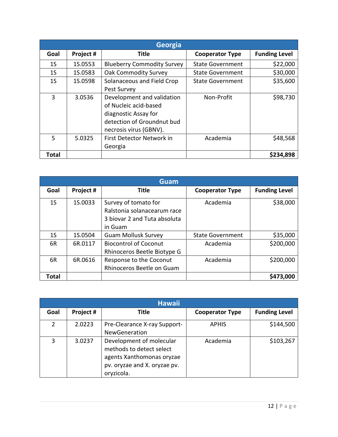|                | <b>Georgia</b> |                                                                                                                                     |                         |                      |  |
|----------------|----------------|-------------------------------------------------------------------------------------------------------------------------------------|-------------------------|----------------------|--|
| Goal           | Project #      | <b>Title</b>                                                                                                                        | <b>Cooperator Type</b>  | <b>Funding Level</b> |  |
| 1 <sub>S</sub> | 1S.0553        | <b>Blueberry Commodity Survey</b>                                                                                                   | <b>State Government</b> | \$22,000             |  |
| 1 <sub>S</sub> | 1S.0583        | <b>Oak Commodity Survey</b>                                                                                                         | <b>State Government</b> | \$30,000             |  |
| 1 <sub>S</sub> | 1S.0598        | Solanaceous and Field Crop<br>Pest Survey                                                                                           | <b>State Government</b> | \$35,600             |  |
| 3              | 3.0536         | Development and validation<br>of Nucleic acid-based<br>diagnostic Assay for<br>detection of Groundnut bud<br>necrosis virus (GBNV). | Non-Profit              | \$98,730             |  |
| 5              | 5.0325         | First Detector Network in<br>Georgia                                                                                                | Academia                | \$48,568             |  |
| <b>Total</b>   |                |                                                                                                                                     |                         | \$234,898            |  |

|                | Guam      |                                                                                                |                         |                      |  |
|----------------|-----------|------------------------------------------------------------------------------------------------|-------------------------|----------------------|--|
| Goal           | Project # | <b>Title</b>                                                                                   | <b>Cooperator Type</b>  | <b>Funding Level</b> |  |
| 1 <sub>S</sub> | 1S.0033   | Survey of tomato for<br>Ralstonia solanacearum race<br>3 biovar 2 and Tuta absoluta<br>in Guam | Academia                | \$38,000             |  |
| 1S             | 1S.0504   | <b>Guam Mollusk Survey</b>                                                                     | <b>State Government</b> | \$35,000             |  |
| 6R             | 6R.0117   | <b>Biocontrol of Coconut</b><br>Rhinoceros Beetle Biotype G                                    | Academia                | \$200,000            |  |
| 6R             | 6R.0616   | Response to the Coconut<br>Rhinoceros Beetle on Guam                                           | Academia                | \$200,000            |  |
| Total          |           |                                                                                                |                         | \$473,000            |  |

| <b>Hawaii</b> |           |                                                                                                                                 |                        |                      |  |
|---------------|-----------|---------------------------------------------------------------------------------------------------------------------------------|------------------------|----------------------|--|
| Goal          | Project # | Title                                                                                                                           | <b>Cooperator Type</b> | <b>Funding Level</b> |  |
| 2             | 2.0223    | Pre-Clearance X-ray Support-<br>NewGeneration                                                                                   | <b>APHIS</b>           | \$144,500            |  |
| 3             | 3.0237    | Development of molecular<br>methods to detect select<br>agents Xanthomonas oryzae<br>pv. oryzae and X. oryzae pv.<br>oryzicola. | Academia               | \$103,267            |  |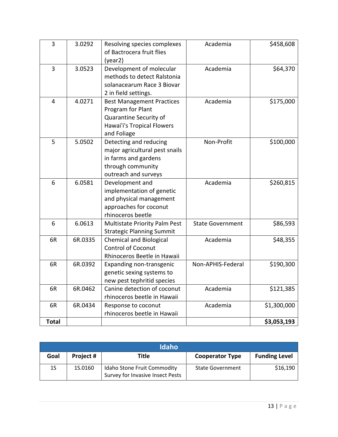| 3            | 3.0292  | Resolving species complexes<br>of Bactrocera fruit flies<br>(year2)                                                           | Academia                | \$458,608   |
|--------------|---------|-------------------------------------------------------------------------------------------------------------------------------|-------------------------|-------------|
| 3            | 3.0523  | Development of molecular<br>methods to detect Ralstonia<br>solanacearum Race 3 Biovar<br>2 in field settings.                 | Academia                | \$64,370    |
| 4            | 4.0271  | <b>Best Management Practices</b><br>Program for Plant<br>Quarantine Security of<br>Hawai'i's Tropical Flowers<br>and Foliage  | Academia                | \$175,000   |
| 5            | 5.0502  | Detecting and reducing<br>major agricultural pest snails<br>in farms and gardens<br>through community<br>outreach and surveys | Non-Profit              | \$100,000   |
| 6            | 6.0581  | Development and<br>implementation of genetic<br>and physical management<br>approaches for coconut<br>rhinoceros beetle        | Academia                | \$260,815   |
| 6            | 6.0613  | Multistate Priority Palm Pest<br><b>Strategic Planning Summit</b>                                                             | <b>State Government</b> | \$86,593    |
| 6R           | 6R.0335 | <b>Chemical and Biological</b><br><b>Control of Coconut</b><br>Rhinoceros Beetle in Hawaii                                    | Academia                | \$48,355    |
| 6R           | 6R.0392 | Expanding non-transgenic<br>genetic sexing systems to<br>new pest tephritid species                                           | Non-APHIS-Federal       | \$190,300   |
| 6R           | 6R.0462 | Canine detection of coconut<br>rhinoceros beetle in Hawaii                                                                    | Academia                | \$121,385   |
| 6R           | 6R.0434 | Response to coconut<br>rhinoceros beetle in Hawaii                                                                            | Academia                | \$1,300,000 |
| <b>Total</b> |         |                                                                                                                               |                         | \$3,053,193 |

| <b>Idaho</b> |           |                                                                 |                         |                      |
|--------------|-----------|-----------------------------------------------------------------|-------------------------|----------------------|
| Goal         | Project # | Title                                                           | <b>Cooperator Type</b>  | <b>Funding Level</b> |
| 1S           | 1S.0160   | Idaho Stone Fruit Commodity<br>Survey for Invasive Insect Pests | <b>State Government</b> | \$16,190             |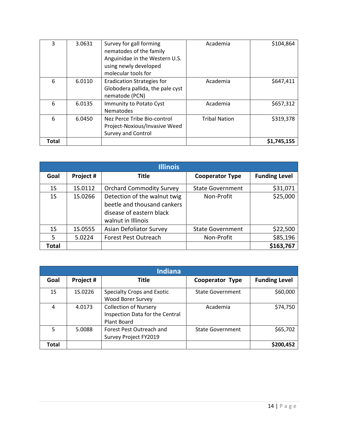| 3     | 3.0631 | Survey for gall forming<br>nematodes of the family<br>Anguinidae in the Western U.S.<br>using newly developed<br>molecular tools for | Academia             | \$104,864   |
|-------|--------|--------------------------------------------------------------------------------------------------------------------------------------|----------------------|-------------|
| 6     | 6.0110 | <b>Eradication Strategies for</b><br>Globodera pallida, the pale cyst<br>nematode (PCN)                                              | Academia             | \$647,411   |
| 6     | 6.0135 | Immunity to Potato Cyst<br><b>Nematodes</b>                                                                                          | Academia             | \$657,312   |
| 6     | 6.0450 | Nez Perce Tribe Bio-control<br>Project-Noxious/Invasive Weed<br><b>Survey and Control</b>                                            | <b>Tribal Nation</b> | \$319,378   |
| Total |        |                                                                                                                                      |                      | \$1,745,155 |

|                | <b>Illinois</b> |                                                                                                               |                         |                      |  |
|----------------|-----------------|---------------------------------------------------------------------------------------------------------------|-------------------------|----------------------|--|
| Goal           | Project #       | Title                                                                                                         | <b>Cooperator Type</b>  | <b>Funding Level</b> |  |
| 1S             | 1S.0112         | <b>Orchard Commodity Survey</b>                                                                               | <b>State Government</b> | \$31,071             |  |
| 1 <sub>S</sub> | 1S.0266         | Detection of the walnut twig<br>beetle and thousand cankers<br>disease of eastern black<br>walnut in Illinois | Non-Profit              | \$25,000             |  |
| 1S             | 1S.0555         | Asian Defoliator Survey                                                                                       | <b>State Government</b> | \$22,500             |  |
| 5              | 5.0224          | <b>Forest Pest Outreach</b>                                                                                   | Non-Profit              | \$85,196             |  |
| Total          |                 |                                                                                                               |                         | \$163,767            |  |

| <b>Indiana</b> |           |                                                                                |                         |                      |
|----------------|-----------|--------------------------------------------------------------------------------|-------------------------|----------------------|
| Goal           | Project # | Title                                                                          | <b>Cooperator Type</b>  | <b>Funding Level</b> |
| 1S             | 1S.0226   | Specialty Crops and Exotic<br><b>Wood Borer Survey</b>                         | <b>State Government</b> | \$60,000             |
| 4              | 4.0173    | <b>Collection of Nursery</b><br>Inspection Data for the Central<br>Plant Board | Academia                | \$74,750             |
| 5              | 5.0088    | Forest Pest Outreach and<br>Survey Project FY2019                              | <b>State Government</b> | \$65,702             |
| Total          |           |                                                                                |                         | \$200,452            |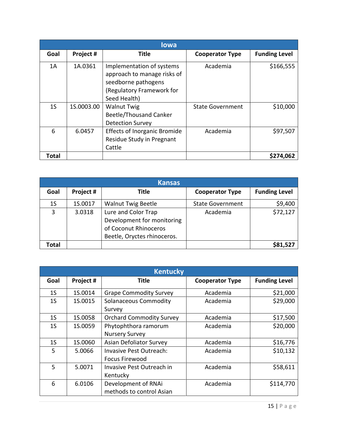|                | <b>lowa</b> |                                                                                                                              |                         |                      |  |
|----------------|-------------|------------------------------------------------------------------------------------------------------------------------------|-------------------------|----------------------|--|
| Goal           | Project #   | Title                                                                                                                        | <b>Cooperator Type</b>  | <b>Funding Level</b> |  |
| 1A             | 1A.0361     | Implementation of systems<br>approach to manage risks of<br>seedborne pathogens<br>(Regulatory Framework for<br>Seed Health) | Academia                | \$166,555            |  |
| 1 <sub>S</sub> | 1S.0003.00  | <b>Walnut Twig</b><br><b>Beetle/Thousand Canker</b><br><b>Detection Survey</b>                                               | <b>State Government</b> | \$10,000             |  |
| 6              | 6.0457      | <b>Effects of Inorganic Bromide</b><br>Residue Study in Pregnant<br>Cattle                                                   | Academia                | \$97,507             |  |
| Total          |             |                                                                                                                              |                         | \$274,062            |  |

| <b>Kansas</b> |           |                                                                                                           |                         |                      |
|---------------|-----------|-----------------------------------------------------------------------------------------------------------|-------------------------|----------------------|
| Goal          | Project # | <b>Title</b>                                                                                              | <b>Cooperator Type</b>  | <b>Funding Level</b> |
| 1S            | 1S.0017   | <b>Walnut Twig Beetle</b>                                                                                 | <b>State Government</b> | \$9,400              |
| 3             | 3.0318    | Lure and Color Trap<br>Development for monitoring<br>of Coconut Rhinoceros<br>Beetle, Oryctes rhinoceros. | Academia                | \$72,127             |
| Total         |           |                                                                                                           |                         | \$81,527             |

|                | <b>Kentucky</b> |                                 |                        |                      |  |
|----------------|-----------------|---------------------------------|------------------------|----------------------|--|
| Goal           | Project #       | <b>Title</b>                    | <b>Cooperator Type</b> | <b>Funding Level</b> |  |
| 1 <sub>S</sub> | 1S.0014         | <b>Grape Commodity Survey</b>   | Academia               | \$21,000             |  |
| 1 <sub>S</sub> | 1S.0015         | <b>Solanaceous Commodity</b>    | Academia               | \$29,000             |  |
|                |                 | Survey                          |                        |                      |  |
| 1S             | 1S.0058         | <b>Orchard Commodity Survey</b> | Academia               | \$17,500             |  |
| 1 <sub>S</sub> | 1S.0059         | Phytophthora ramorum            | Academia               | \$20,000             |  |
|                |                 | <b>Nursery Survey</b>           |                        |                      |  |
| 1 <sub>S</sub> | 1S.0060         | <b>Asian Defoliator Survey</b>  | Academia               | \$16,776             |  |
| 5              | 5.0066          | <b>Invasive Pest Outreach:</b>  | Academia               | \$10,132             |  |
|                |                 | <b>Focus Firewood</b>           |                        |                      |  |
| 5              | 5.0071          | Invasive Pest Outreach in       | Academia               | \$58,611             |  |
|                |                 | Kentucky                        |                        |                      |  |
| 6              | 6.0106          | Development of RNAi             | Academia               | \$114,770            |  |
|                |                 | methods to control Asian        |                        |                      |  |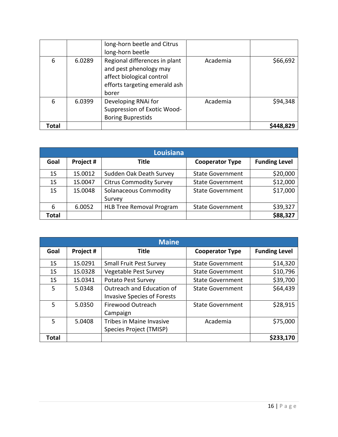|                | Louisiana |                                        |                         |                      |  |  |
|----------------|-----------|----------------------------------------|-------------------------|----------------------|--|--|
| Goal           | Project # | Title                                  | <b>Cooperator Type</b>  | <b>Funding Level</b> |  |  |
| 1S             | 1S.0012   | Sudden Oak Death Survey                | <b>State Government</b> | \$20,000             |  |  |
| 1 <sub>S</sub> | 1S.0047   | <b>Citrus Commodity Survey</b>         | <b>State Government</b> | \$12,000             |  |  |
| 1S             | 1S.0048   | <b>Solanaceous Commodity</b><br>Survey | <b>State Government</b> | \$17,000             |  |  |
| 6              | 6.0052    | <b>HLB Tree Removal Program</b>        | <b>State Government</b> | \$39,327             |  |  |
| Total          |           |                                        |                         | \$88,327             |  |  |

|       | <b>Maine</b> |                                                                 |                         |                      |  |  |
|-------|--------------|-----------------------------------------------------------------|-------------------------|----------------------|--|--|
| Goal  | Project #    | <b>Title</b>                                                    | <b>Cooperator Type</b>  | <b>Funding Level</b> |  |  |
| 1S    | 1S.0291      | <b>Small Fruit Pest Survey</b>                                  | <b>State Government</b> | \$14,320             |  |  |
| 1S    | 1S.0328      | Vegetable Pest Survey                                           | <b>State Government</b> | \$10,796             |  |  |
| 1S    | 1S.0341      | Potato Pest Survey                                              | <b>State Government</b> | \$39,700             |  |  |
| 5     | 5.0348       | Outreach and Education of<br><b>Invasive Species of Forests</b> | <b>State Government</b> | \$64,439             |  |  |
| 5     | 5.0350       | <b>Firewood Outreach</b><br>Campaign                            | <b>State Government</b> | \$28,915             |  |  |
| 5     | 5.0408       | <b>Tribes in Maine Invasive</b><br>Species Project (TMISP)      | Academia                | \$75,000             |  |  |
| Total |              |                                                                 |                         | \$233,170            |  |  |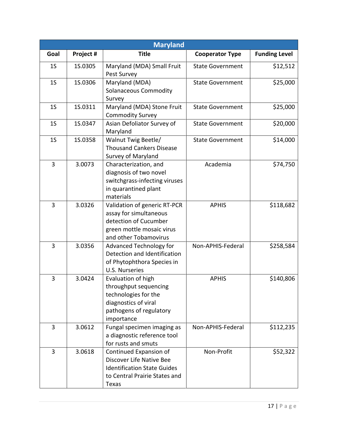|                | <b>Maryland</b> |                                                                                                                                       |                         |                      |  |
|----------------|-----------------|---------------------------------------------------------------------------------------------------------------------------------------|-------------------------|----------------------|--|
| Goal           | Project #       | <b>Title</b>                                                                                                                          | <b>Cooperator Type</b>  | <b>Funding Level</b> |  |
| 1 <sub>S</sub> | 1S.0305         | Maryland (MDA) Small Fruit<br>Pest Survey                                                                                             | <b>State Government</b> | \$12,512             |  |
| 1 <sub>S</sub> | 15.0306         | Maryland (MDA)<br><b>Solanaceous Commodity</b><br>Survey                                                                              | <b>State Government</b> | \$25,000             |  |
| 1 <sub>S</sub> | 15.0311         | Maryland (MDA) Stone Fruit<br><b>Commodity Survey</b>                                                                                 | <b>State Government</b> | \$25,000             |  |
| 1 <sub>S</sub> | 1S.0347         | Asian Defoliator Survey of<br>Maryland                                                                                                | <b>State Government</b> | \$20,000             |  |
| 1 <sub>S</sub> | 15.0358         | Walnut Twig Beetle/<br><b>Thousand Cankers Disease</b><br>Survey of Maryland                                                          | <b>State Government</b> | \$14,000             |  |
| 3              | 3.0073          | Characterization, and<br>diagnosis of two novel<br>switchgrass-infecting viruses<br>in quarantined plant<br>materials                 | Academia                | \$74,750             |  |
| 3              | 3.0326          | Validation of generic RT-PCR<br>assay for simultaneous<br>detection of Cucumber<br>green mottle mosaic virus<br>and other Tobamovirus | <b>APHIS</b>            | \$118,682            |  |
| 3              | 3.0356          | <b>Advanced Technology for</b><br>Detection and Identification<br>of Phytophthora Species in<br><b>U.S. Nurseries</b>                 | Non-APHIS-Federal       | \$258,584            |  |
| 3              | 3.0424          | Evaluation of high<br>throughput sequencing<br>technologies for the<br>diagnostics of viral<br>pathogens of regulatory<br>importance  | <b>APHIS</b>            | \$140,806            |  |
| 3              | 3.0612          | Fungal specimen imaging as<br>a diagnostic reference tool<br>for rusts and smuts                                                      | Non-APHIS-Federal       | \$112,235            |  |
| 3              | 3.0618          | Continued Expansion of<br>Discover Life Native Bee<br><b>Identification State Guides</b><br>to Central Prairie States and<br>Texas    | Non-Profit              | \$52,322             |  |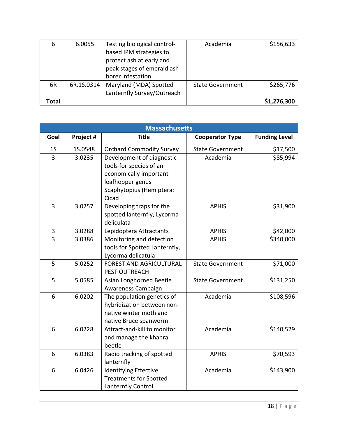| 6     | 6.0055     | Testing biological control- | Academia                | \$156,633   |
|-------|------------|-----------------------------|-------------------------|-------------|
|       |            | based IPM strategies to     |                         |             |
|       |            | protect ash at early and    |                         |             |
|       |            | peak stages of emerald ash  |                         |             |
|       |            | borer infestation           |                         |             |
| 6R    | 6R.1S.0314 | Maryland (MDA) Spotted      | <b>State Government</b> | \$265,776   |
|       |            | Lanternfly Survey/Outreach  |                         |             |
| Total |            |                             |                         | \$1,276,300 |

|                | <b>Massachusetts</b> |                                                                                                                                         |                         |                      |  |
|----------------|----------------------|-----------------------------------------------------------------------------------------------------------------------------------------|-------------------------|----------------------|--|
| Goal           | Project #            | <b>Title</b>                                                                                                                            | <b>Cooperator Type</b>  | <b>Funding Level</b> |  |
| 1 <sub>S</sub> | 1S.0548              | <b>Orchard Commodity Survey</b>                                                                                                         | <b>State Government</b> | \$17,500             |  |
| $\overline{3}$ | 3.0235               | Development of diagnostic<br>tools for species of an<br>economically important<br>leafhopper genus<br>Scaphytopius (Hemiptera:<br>Cicad | Academia                | \$85,994             |  |
| 3              | 3.0257               | Developing traps for the<br>spotted lanternfly, Lycorma<br>deliculata                                                                   | <b>APHIS</b>            | \$31,900             |  |
| 3              | 3.0288               | Lepidoptera Attractants                                                                                                                 | <b>APHIS</b>            | \$42,000             |  |
| 3              | 3.0386               | Monitoring and detection<br>tools for Spotted Lanternfly,<br>Lycorma delicatula                                                         | <b>APHIS</b>            | \$340,000            |  |
| 5              | 5.0252               | <b>FOREST AND AGRICULTURAL</b><br>PEST OUTREACH                                                                                         | <b>State Government</b> | \$71,000             |  |
| 5              | 5.0585               | Asian Longhorned Beetle<br>Awareness Campaign                                                                                           | <b>State Government</b> | \$131,250            |  |
| 6              | 6.0202               | The population genetics of<br>hybridization between non-<br>native winter moth and<br>native Bruce spanworm                             | Academia                | \$108,596            |  |
| 6              | 6.0228               | Attract-and-kill to monitor<br>and manage the khapra<br>beetle                                                                          | Academia                | \$140,529            |  |
| 6              | 6.0383               | Radio tracking of spotted<br>lanternfly                                                                                                 | <b>APHIS</b>            | \$70,593             |  |
| 6              | 6.0426               | <b>Identifying Effective</b><br><b>Treatments for Spotted</b><br>Lanternfly Control                                                     | Academia                | \$143,900            |  |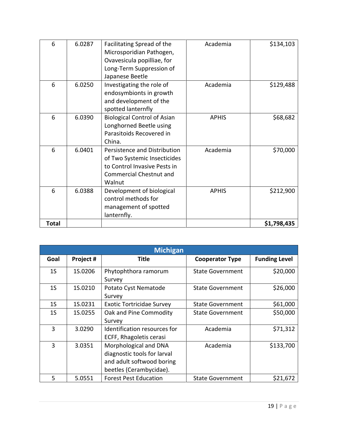| 6            | 6.0287 | Facilitating Spread of the<br>Microsporidian Pathogen,<br>Ovavesicula popilliae, for<br>Long-Term Suppression of<br>Japanese Beetle      | Academia     | \$134,103   |
|--------------|--------|------------------------------------------------------------------------------------------------------------------------------------------|--------------|-------------|
| 6            | 6.0250 | Investigating the role of<br>endosymbionts in growth<br>and development of the<br>spotted lanternfly                                     | Academia     | \$129,488   |
| 6            | 6.0390 | <b>Biological Control of Asian</b><br>Longhorned Beetle using<br>Parasitoids Recovered in<br>China.                                      | <b>APHIS</b> | \$68,682    |
| 6            | 6.0401 | Persistence and Distribution<br>of Two Systemic Insecticides<br>to Control Invasive Pests in<br><b>Commercial Chestnut and</b><br>Walnut | Academia     | \$70,000    |
| 6            | 6.0388 | Development of biological<br>control methods for<br>management of spotted<br>lanternfly.                                                 | <b>APHIS</b> | \$212,900   |
| <b>Total</b> |        |                                                                                                                                          |              | \$1,798,435 |

|                | <b>Michigan</b> |                                                                                                              |                         |                      |  |  |
|----------------|-----------------|--------------------------------------------------------------------------------------------------------------|-------------------------|----------------------|--|--|
| Goal           | Project #       | Title                                                                                                        | <b>Cooperator Type</b>  | <b>Funding Level</b> |  |  |
| 1 <sub>S</sub> | 1S.0206         | Phytophthora ramorum<br>Survey                                                                               | <b>State Government</b> | \$20,000             |  |  |
| 1 <sub>S</sub> | 1S.0210         | Potato Cyst Nematode<br>Survey                                                                               | <b>State Government</b> | \$26,000             |  |  |
| 1S             | 1S.0231         | <b>Exotic Tortricidae Survey</b>                                                                             | <b>State Government</b> | \$61,000             |  |  |
| 1 <sub>S</sub> | 1S.0255         | Oak and Pine Commodity<br>Survey                                                                             | <b>State Government</b> | \$50,000             |  |  |
| 3              | 3.0290          | Identification resources for<br>ECFF, Rhagoletis cerasi                                                      | Academia                | \$71,312             |  |  |
| 3              | 3.0351          | Morphological and DNA<br>diagnostic tools for larval<br>and adult softwood boring<br>beetles (Cerambycidae). | Academia                | \$133,700            |  |  |
| 5              | 5.0551          | <b>Forest Pest Education</b>                                                                                 | <b>State Government</b> | \$21,672             |  |  |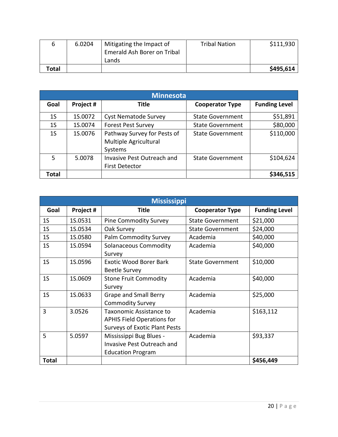|       | 6.0204 | Mitigating the Impact of    | <b>Tribal Nation</b> | \$111,930 |
|-------|--------|-----------------------------|----------------------|-----------|
|       |        | Emerald Ash Borer on Tribal |                      |           |
|       |        | Lands                       |                      |           |
| Total |        |                             |                      | \$495,614 |

| <b>Minnesota</b> |           |                                                                 |                         |                      |  |
|------------------|-----------|-----------------------------------------------------------------|-------------------------|----------------------|--|
| Goal             | Project # | <b>Title</b>                                                    | <b>Cooperator Type</b>  | <b>Funding Level</b> |  |
| 1S               | 1S.0072   | <b>Cyst Nematode Survey</b>                                     | <b>State Government</b> | \$51,891             |  |
| 1 <sub>S</sub>   | 1S.0074   | <b>Forest Pest Survey</b>                                       | <b>State Government</b> | \$80,000             |  |
| 1S               | 1S.0076   | Pathway Survey for Pests of<br>Multiple Agricultural<br>Systems | <b>State Government</b> | \$110,000            |  |
| 5                | 5.0078    | <b>Invasive Pest Outreach and</b><br><b>First Detector</b>      | <b>State Government</b> | \$104,624            |  |
| Total            |           |                                                                 |                         | \$346,515            |  |

|                | <b>Mississippi</b> |                                                                                                      |                         |                      |  |
|----------------|--------------------|------------------------------------------------------------------------------------------------------|-------------------------|----------------------|--|
| Goal           | Project #          | <b>Title</b>                                                                                         | <b>Cooperator Type</b>  | <b>Funding Level</b> |  |
| 1 <sub>S</sub> | 1S.0531            | <b>Pine Commodity Survey</b>                                                                         | <b>State Government</b> | \$21,000             |  |
| 1 <sub>S</sub> | 1S.0534            | Oak Survey                                                                                           | <b>State Government</b> | \$24,000             |  |
| 1 <sub>S</sub> | 1S.0580            | <b>Palm Commodity Survey</b>                                                                         | Academia                | \$40,000             |  |
| 1 <sub>S</sub> | 1S.0594            | <b>Solanaceous Commodity</b><br>Survey                                                               | Academia                | \$40,000             |  |
| 1 <sub>S</sub> | 1S.0596            | <b>Exotic Wood Borer Bark</b><br><b>Beetle Survey</b>                                                | <b>State Government</b> | \$10,000             |  |
| 1 <sub>S</sub> | 1S.0609            | <b>Stone Fruit Commodity</b><br>Survey                                                               | Academia                | \$40,000             |  |
| 1 <sub>S</sub> | 1S.0633            | <b>Grape and Small Berry</b><br><b>Commodity Survey</b>                                              | Academia                | \$25,000             |  |
| 3              | 3.0526             | Taxonomic Assistance to<br><b>APHIS Field Operations for</b><br><b>Surveys of Exotic Plant Pests</b> | Academia                | \$163,112            |  |
| 5              | 5.0597             | Mississippi Bug Blues -<br><b>Invasive Pest Outreach and</b><br><b>Education Program</b>             | Academia                | \$93,337             |  |
| <b>Total</b>   |                    |                                                                                                      |                         | \$456,449            |  |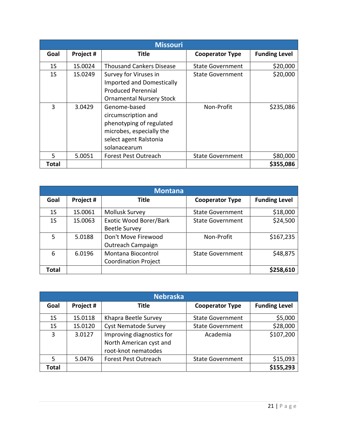|                | <b>Missouri</b> |                                                                                                                                       |                         |                      |  |
|----------------|-----------------|---------------------------------------------------------------------------------------------------------------------------------------|-------------------------|----------------------|--|
| Goal           | Project #       | Title                                                                                                                                 | <b>Cooperator Type</b>  | <b>Funding Level</b> |  |
| 1 <sub>S</sub> | 1S.0024         | <b>Thousand Cankers Disease</b>                                                                                                       | <b>State Government</b> | \$20,000             |  |
| 1 <sub>S</sub> | 1S.0249         | Survey for Viruses in<br><b>Imported and Domestically</b><br><b>Produced Perennial</b><br><b>Ornamental Nursery Stock</b>             | <b>State Government</b> | \$20,000             |  |
| 3              | 3.0429          | Genome-based<br>circumscription and<br>phenotyping of regulated<br>microbes, especially the<br>select agent Ralstonia<br>solanacearum | Non-Profit              | \$235,086            |  |
| 5              | 5.0051          | Forest Pest Outreach                                                                                                                  | <b>State Government</b> | \$80,000             |  |
| Total          |                 |                                                                                                                                       |                         | \$355,086            |  |

| <b>Montana</b> |           |                                                   |                         |                      |  |
|----------------|-----------|---------------------------------------------------|-------------------------|----------------------|--|
| Goal           | Project # | <b>Title</b>                                      | <b>Cooperator Type</b>  | <b>Funding Level</b> |  |
| 1S             | 1S.0061   | <b>Mollusk Survey</b>                             | <b>State Government</b> | \$18,000             |  |
| 1 <sub>S</sub> | 1S.0063   | Exotic Wood Borer/Bark<br><b>Beetle Survey</b>    | <b>State Government</b> | \$24,500             |  |
| 5              | 5.0188    | Don't Move Firewood<br>Outreach Campaign          | Non-Profit              | \$167,235            |  |
| 6              | 6.0196    | Montana Biocontrol<br><b>Coordination Project</b> | <b>State Government</b> | \$48,875             |  |
| Total          |           |                                                   |                         | \$258,610            |  |

| <b>Nebraska</b> |           |                                                                             |                         |                      |
|-----------------|-----------|-----------------------------------------------------------------------------|-------------------------|----------------------|
| Goal            | Project # | Title                                                                       | <b>Cooperator Type</b>  | <b>Funding Level</b> |
| 1 <sub>S</sub>  | 1S.0118   | Khapra Beetle Survey                                                        | <b>State Government</b> | \$5,000              |
| 1S              | 1S.0120   | <b>Cyst Nematode Survey</b>                                                 | <b>State Government</b> | \$28,000             |
| 3               | 3.0127    | Improving diagnostics for<br>North American cyst and<br>root-knot nematodes | Academia                | \$107,200            |
| 5               | 5.0476    | <b>Forest Pest Outreach</b>                                                 | <b>State Government</b> | \$15,093             |
| Total           |           |                                                                             |                         | \$155,293            |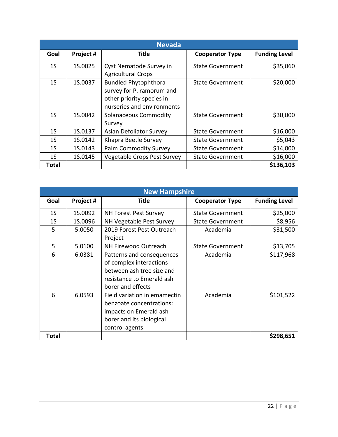|                | <b>Nevada</b> |                                                                                                                     |                         |                      |  |
|----------------|---------------|---------------------------------------------------------------------------------------------------------------------|-------------------------|----------------------|--|
| Goal           | Project #     | Title                                                                                                               | <b>Cooperator Type</b>  | <b>Funding Level</b> |  |
| 1 <sub>S</sub> | 1S.0025       | Cyst Nematode Survey in<br><b>Agricultural Crops</b>                                                                | <b>State Government</b> | \$35,060             |  |
| 1 <sub>S</sub> | 1S.0037       | <b>Bundled Phytophthora</b><br>survey for P. ramorum and<br>other priority species in<br>nurseries and environments | <b>State Government</b> | \$20,000             |  |
| 1 <sub>S</sub> | 1S.0042       | <b>Solanaceous Commodity</b><br>Survey                                                                              | <b>State Government</b> | \$30,000             |  |
| 1S             | 1S.0137       | Asian Defoliator Survey                                                                                             | <b>State Government</b> | \$16,000             |  |
| 1 <sub>S</sub> | 1S.0142       | Khapra Beetle Survey                                                                                                | <b>State Government</b> | \$5,043              |  |
| 1 <sub>S</sub> | 1S.0143       | <b>Palm Commodity Survey</b>                                                                                        | <b>State Government</b> | \$14,000             |  |
| 1S             | 1S.0145       | Vegetable Crops Pest Survey                                                                                         | <b>State Government</b> | \$16,000             |  |
| Total          |               |                                                                                                                     |                         | \$136,103            |  |

|       | <b>New Hampshire</b> |                                                                                                                                     |                         |                      |  |
|-------|----------------------|-------------------------------------------------------------------------------------------------------------------------------------|-------------------------|----------------------|--|
| Goal  | Project #            | Title                                                                                                                               | <b>Cooperator Type</b>  | <b>Funding Level</b> |  |
| 1S    | 1S.0092              | <b>NH Forest Pest Survey</b>                                                                                                        | <b>State Government</b> | \$25,000             |  |
| 1S    | 1S.0096              | NH Vegetable Pest Survey                                                                                                            | <b>State Government</b> | \$8,956              |  |
| 5     | 5.0050               | 2019 Forest Pest Outreach<br>Project                                                                                                | Academia                | \$31,500             |  |
| 5     | 5.0100               | NH Firewood Outreach                                                                                                                | <b>State Government</b> | \$13,705             |  |
| 6     | 6.0381               | Patterns and consequences<br>of complex interactions<br>between ash tree size and<br>resistance to Emerald ash<br>borer and effects | Academia                | \$117,968            |  |
| 6     | 6.0593               | Field variation in emamectin<br>benzoate concentrations:<br>impacts on Emerald ash<br>borer and its biological<br>control agents    | Academia                | \$101,522            |  |
| Total |                      |                                                                                                                                     |                         | \$298,651            |  |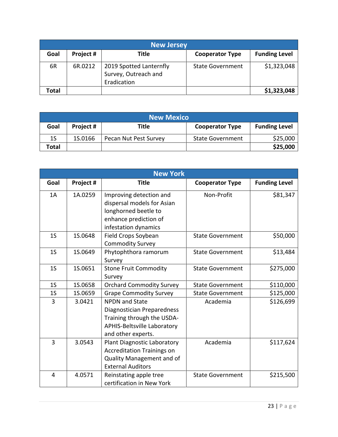| <b>New Jersey</b> |           |                                                                |                         |                      |
|-------------------|-----------|----------------------------------------------------------------|-------------------------|----------------------|
| Goal              | Project # | Title                                                          | <b>Cooperator Type</b>  | <b>Funding Level</b> |
| 6R                | 6R.0212   | 2019 Spotted Lanternfly<br>Survey, Outreach and<br>Eradication | <b>State Government</b> | \$1,323,048          |
| Total             |           |                                                                |                         | \$1,323,048          |

| <b>New Mexico</b> |           |                       |                         |                      |
|-------------------|-----------|-----------------------|-------------------------|----------------------|
| Goal              | Project # | Title                 | <b>Cooperator Type</b>  | <b>Funding Level</b> |
| 1S                | 1S.0166   | Pecan Nut Pest Survey | <b>State Government</b> | \$25,000             |
| Total             |           |                       |                         | \$25,000             |

|                | <b>New York</b> |                                                                                                                                               |                         |                      |  |
|----------------|-----------------|-----------------------------------------------------------------------------------------------------------------------------------------------|-------------------------|----------------------|--|
| Goal           | Project #       | <b>Title</b>                                                                                                                                  | <b>Cooperator Type</b>  | <b>Funding Level</b> |  |
| 1A             | 1A.0259         | Improving detection and<br>dispersal models for Asian<br>longhorned beetle to<br>enhance prediction of<br>infestation dynamics                | Non-Profit              | \$81,347             |  |
| 1 <sub>S</sub> | 1S.0648         | Field Crops Soybean<br><b>Commodity Survey</b>                                                                                                | <b>State Government</b> | \$50,000             |  |
| 1 <sub>S</sub> | 1S.0649         | Phytophthora ramorum<br>Survey                                                                                                                | <b>State Government</b> | \$13,484             |  |
| 1 <sub>S</sub> | 1S.0651         | <b>Stone Fruit Commodity</b><br>Survey                                                                                                        | <b>State Government</b> | \$275,000            |  |
| 1 <sub>S</sub> | 1S.0658         | <b>Orchard Commodity Survey</b>                                                                                                               | <b>State Government</b> | \$110,000            |  |
| 1 <sub>S</sub> | 1S.0659         | <b>Grape Commodity Survey</b>                                                                                                                 | <b>State Government</b> | \$125,000            |  |
| 3              | 3.0421          | <b>NPDN</b> and State<br>Diagnostician Preparedness<br>Training through the USDA-<br><b>APHIS-Beltsville Laboratory</b><br>and other experts. | Academia                | \$126,699            |  |
| 3              | 3.0543          | <b>Plant Diagnostic Laboratory</b><br><b>Accreditation Trainings on</b><br>Quality Management and of<br><b>External Auditors</b>              | Academia                | \$117,624            |  |
| 4              | 4.0571          | Reinstating apple tree<br>certification in New York                                                                                           | <b>State Government</b> | \$215,500            |  |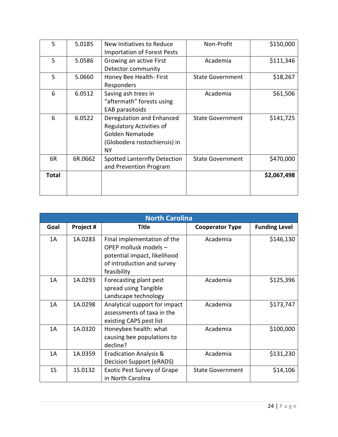| 5     | 5.0185  | New Initiatives to Reduce<br><b>Importation of Forest Pests</b>                                                       | Non-Profit              | \$150,000   |
|-------|---------|-----------------------------------------------------------------------------------------------------------------------|-------------------------|-------------|
| 5     | 5.0586  | Growing an active First<br>Detector community                                                                         | Academia                | \$111,346   |
| 5     | 5.0660  | Honey Bee Health- First<br>Responders                                                                                 | <b>State Government</b> | \$18,267    |
| 6     | 6.0512  | Saving ash trees in<br>"aftermath" forests using<br>EAB parasitoids                                                   | Academia                | \$61,506    |
| 6     | 6.0522  | Deregulation and Enhanced<br><b>Regulatory Activities of</b><br>Golden Nematode<br>(Globodera rostochiensis) in<br>NΥ | <b>State Government</b> | \$141,725   |
| 6R    | 6R.0662 | Spotted Lanternfly Detection<br>and Prevention Program                                                                | <b>State Government</b> | \$470,000   |
| Total |         |                                                                                                                       |                         | \$2,067,498 |

|                | <b>North Carolina</b> |                                                                                                                                   |                         |                      |  |
|----------------|-----------------------|-----------------------------------------------------------------------------------------------------------------------------------|-------------------------|----------------------|--|
| Goal           | Project #             | <b>Title</b>                                                                                                                      | <b>Cooperator Type</b>  | <b>Funding Level</b> |  |
| 1A             | 1A.0283               | Final implementation of the<br>OPEP mollusk models -<br>potential impact, likelihood<br>of introduction and survey<br>feasibility | Academia                | \$146,130            |  |
| 1Α             | 1A.0293               | Forecasting plant pest<br>spread using Tangible<br>Landscape technology                                                           | Academia                | \$125,396            |  |
| 1A             | 1A.0298               | Analytical support for impact<br>assessments of taxa in the<br>existing CAPS pest list                                            | Academia                | \$173,747            |  |
| 1A             | 1A.0320               | Honeybee health: what<br>causing bee populations to<br>decline?                                                                   | Academia                | \$100,000            |  |
| 1A             | 1A.0359               | <b>Eradication Analysis &amp;</b><br><b>Decision Support (eRADS)</b>                                                              | Academia                | \$131,230            |  |
| 1 <sub>S</sub> | 1S.0132               | <b>Exotic Pest Survey of Grape</b><br>in North Carolina                                                                           | <b>State Government</b> | \$14,106             |  |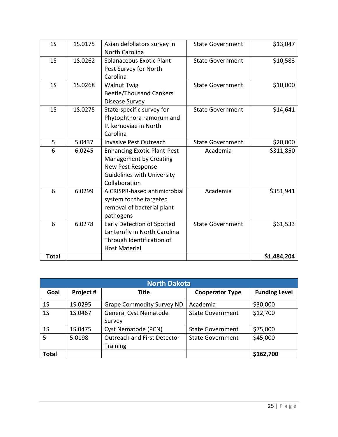| 1 <sub>S</sub> | 1S.0175 | Asian defoliators survey in<br><b>North Carolina</b>                                                                                           | <b>State Government</b> | \$13,047    |
|----------------|---------|------------------------------------------------------------------------------------------------------------------------------------------------|-------------------------|-------------|
| 1 <sub>S</sub> | 1S.0262 | Solanaceous Exotic Plant<br>Pest Survey for North<br>Carolina                                                                                  | <b>State Government</b> | \$10,583    |
| 1 <sub>S</sub> | 15.0268 | <b>Walnut Twig</b><br><b>Beetle/Thousand Cankers</b><br>Disease Survey                                                                         | <b>State Government</b> | \$10,000    |
| 1 <sub>S</sub> | 1S.0275 | State-specific survey for<br>Phytophthora ramorum and<br>P. kernoviae in North<br>Carolina                                                     | <b>State Government</b> | \$14,641    |
| 5              | 5.0437  | <b>Invasive Pest Outreach</b>                                                                                                                  | <b>State Government</b> | \$20,000    |
| 6              | 6.0245  | <b>Enhancing Exotic Plant-Pest</b><br>Management by Creating<br><b>New Pest Response</b><br><b>Guidelines with University</b><br>Collaboration | Academia                | \$311,850   |
| 6              | 6.0299  | A CRISPR-based antimicrobial<br>system for the targeted<br>removal of bacterial plant<br>pathogens                                             | Academia                | \$351,941   |
| 6              | 6.0278  | Early Detection of Spotted<br>Lanternfly in North Carolina<br>Through Identification of<br><b>Host Material</b>                                | <b>State Government</b> | \$61,533    |
| <b>Total</b>   |         |                                                                                                                                                |                         | \$1,484,204 |

| <b>North Dakota</b> |           |                                                       |                         |                      |
|---------------------|-----------|-------------------------------------------------------|-------------------------|----------------------|
| Goal                | Project # | Title                                                 | <b>Cooperator Type</b>  | <b>Funding Level</b> |
| 1 <sub>S</sub>      | 1S.0295   | <b>Grape Commodity Survey ND</b>                      | Academia                | \$30,000             |
| 1 <sub>S</sub>      | 1S.0467   | <b>General Cyst Nematode</b><br>Survey                | <b>State Government</b> | \$12,700             |
| 1 <sub>S</sub>      | 1S.0475   | Cyst Nematode (PCN)                                   | <b>State Government</b> | \$75,000             |
| 5                   | 5.0198    | <b>Outreach and First Detector</b><br><b>Training</b> | <b>State Government</b> | \$45,000             |
| <b>Total</b>        |           |                                                       |                         | \$162,700            |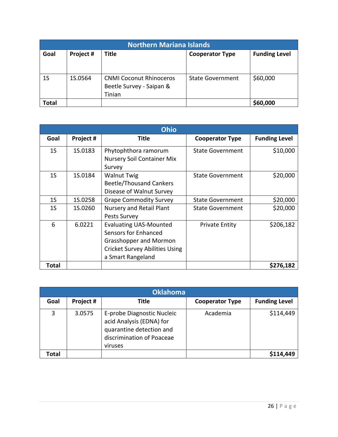| <b>Northern Mariana Islands</b> |           |                                |                         |                      |
|---------------------------------|-----------|--------------------------------|-------------------------|----------------------|
| Goal                            | Project # | <b>Title</b>                   | <b>Cooperator Type</b>  | <b>Funding Level</b> |
|                                 |           |                                |                         |                      |
|                                 |           |                                |                         |                      |
| 1 <sub>S</sub>                  | 1S.0564   | <b>CNMI Coconut Rhinoceros</b> | <b>State Government</b> | \$60,000             |
|                                 |           | Beetle Survey - Saipan &       |                         |                      |
|                                 |           | Tinian                         |                         |                      |
| <b>Total</b>                    |           |                                |                         | \$60,000             |

|                | <b>Ohio</b> |                                                                                                                                               |                         |                      |  |
|----------------|-------------|-----------------------------------------------------------------------------------------------------------------------------------------------|-------------------------|----------------------|--|
| Goal           | Project #   | <b>Title</b>                                                                                                                                  | <b>Cooperator Type</b>  | <b>Funding Level</b> |  |
| 1 <sub>S</sub> | 1S.0183     | Phytophthora ramorum<br><b>Nursery Soil Container Mix</b><br>Survey                                                                           | <b>State Government</b> | \$10,000             |  |
| 1 <sub>S</sub> | 1S.0184     | <b>Walnut Twig</b><br><b>Beetle/Thousand Cankers</b><br>Disease of Walnut Survey                                                              | <b>State Government</b> | \$20,000             |  |
| 1S             | 1S.0258     | <b>Grape Commodity Survey</b>                                                                                                                 | <b>State Government</b> | \$20,000             |  |
| 1 <sub>S</sub> | 1S.0260     | Nursery and Retail Plant<br>Pests Survey                                                                                                      | <b>State Government</b> | \$20,000             |  |
| 6              | 6.0221      | <b>Evaluating UAS-Mounted</b><br>Sensors for Enhanced<br>Grasshopper and Mormon<br><b>Cricket Survey Abilities Using</b><br>a Smart Rangeland | <b>Private Entity</b>   | \$206,182            |  |
| <b>Total</b>   |             |                                                                                                                                               |                         | \$276,182            |  |

| <b>Oklahoma</b> |           |                                                                                                                            |                        |                      |
|-----------------|-----------|----------------------------------------------------------------------------------------------------------------------------|------------------------|----------------------|
| Goal            | Project # | <b>Title</b>                                                                                                               | <b>Cooperator Type</b> | <b>Funding Level</b> |
| 3               | 3.0575    | E-probe Diagnostic Nucleic<br>acid Analysis (EDNA) for<br>quarantine detection and<br>discrimination of Poaceae<br>viruses | Academia               | \$114,449            |
| Total           |           |                                                                                                                            |                        | \$114,449            |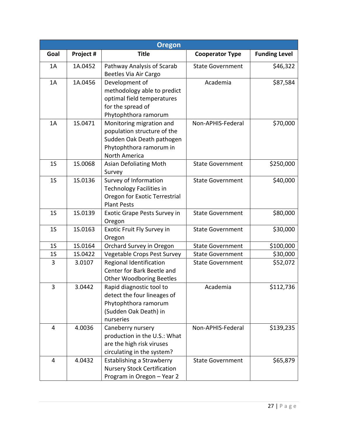| <b>Oregon</b>  |           |                                                                                                                                  |                         |                      |
|----------------|-----------|----------------------------------------------------------------------------------------------------------------------------------|-------------------------|----------------------|
| Goal           | Project # | <b>Title</b>                                                                                                                     | <b>Cooperator Type</b>  | <b>Funding Level</b> |
| 1A             | 1A.0452   | Pathway Analysis of Scarab<br>Beetles Via Air Cargo                                                                              | <b>State Government</b> | \$46,322             |
| 1A             | 1A.0456   | Development of<br>methodology able to predict<br>optimal field temperatures<br>for the spread of<br>Phytophthora ramorum         | Academia                | \$87,584             |
| 1A             | 1S.0471   | Monitoring migration and<br>population structure of the<br>Sudden Oak Death pathogen<br>Phytophthora ramorum in<br>North America | Non-APHIS-Federal       | \$70,000             |
| 1 <sub>S</sub> | 15.0068   | Asian Defoliating Moth<br>Survey                                                                                                 | <b>State Government</b> | \$250,000            |
| 1 <sub>S</sub> | 1S.0136   | Survey of Information<br><b>Technology Facilities in</b><br>Oregon for Exotic Terrestrial<br><b>Plant Pests</b>                  | <b>State Government</b> | \$40,000             |
| 1 <sub>S</sub> | 1S.0139   | Exotic Grape Pests Survey in<br>Oregon                                                                                           | <b>State Government</b> | \$80,000             |
| 1 <sub>S</sub> | 1S.0163   | Exotic Fruit Fly Survey in<br>Oregon                                                                                             | <b>State Government</b> | \$30,000             |
| 1 <sub>S</sub> | 1S.0164   | Orchard Survey in Oregon                                                                                                         | <b>State Government</b> | \$100,000            |
| 1S             | 1S.0422   | Vegetable Crops Pest Survey                                                                                                      | <b>State Government</b> | \$30,000             |
| 3              | 3.0107    | Regional Identification<br>Center for Bark Beetle and<br><b>Other Woodboring Beetles</b>                                         | <b>State Government</b> | \$52,072             |
| 3              | 3.0442    | Rapid diagnostic tool to<br>detect the four lineages of<br>Phytophthora ramorum<br>(Sudden Oak Death) in<br>nurseries            | Academia                | \$112,736            |
| 4              | 4.0036    | Caneberry nursery<br>production in the U.S.: What<br>are the high risk viruses<br>circulating in the system?                     | Non-APHIS-Federal       | \$139,235            |
| $\overline{4}$ | 4.0432    | Establishing a Strawberry<br><b>Nursery Stock Certification</b><br>Program in Oregon - Year 2                                    | <b>State Government</b> | \$65,879             |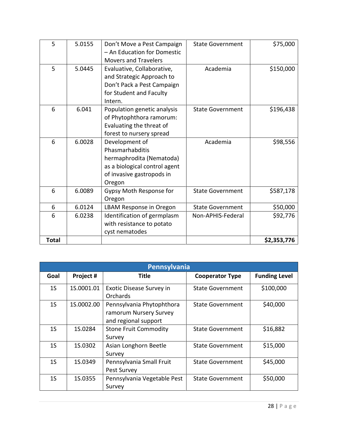| 5            | 5.0155 | Don't Move a Pest Campaign<br>- An Education for Domestic | <b>State Government</b> | \$75,000    |
|--------------|--------|-----------------------------------------------------------|-------------------------|-------------|
|              |        | <b>Movers and Travelers</b>                               |                         |             |
| 5            | 5.0445 | Evaluative, Collaborative,                                | Academia                | \$150,000   |
|              |        | and Strategic Approach to                                 |                         |             |
|              |        | Don't Pack a Pest Campaign                                |                         |             |
|              |        | for Student and Faculty                                   |                         |             |
|              |        | Intern.                                                   |                         |             |
| 6            | 6.041  | Population genetic analysis                               | <b>State Government</b> | \$196,438   |
|              |        | of Phytophthora ramorum:                                  |                         |             |
|              |        | Evaluating the threat of                                  |                         |             |
|              |        | forest to nursery spread                                  |                         |             |
| 6            | 6.0028 | Development of                                            | Academia                | \$98,556    |
|              |        | Phasmarhabditis                                           |                         |             |
|              |        | hermaphrodita (Nematoda)                                  |                         |             |
|              |        | as a biological control agent                             |                         |             |
|              |        | of invasive gastropods in                                 |                         |             |
|              |        | Oregon                                                    |                         |             |
| 6            | 6.0089 | Gypsy Moth Response for                                   | <b>State Government</b> | \$587,178   |
|              |        | Oregon                                                    |                         |             |
| 6            | 6.0124 | LBAM Response in Oregon                                   | <b>State Government</b> | \$50,000    |
| 6            | 6.0238 | Identification of germplasm                               | Non-APHIS-Federal       | \$92,776    |
|              |        | with resistance to potato                                 |                         |             |
|              |        | cyst nematodes                                            |                         |             |
| <b>Total</b> |        |                                                           |                         | \$2,353,776 |

| Pennsylvania   |            |                                                                             |                         |                      |
|----------------|------------|-----------------------------------------------------------------------------|-------------------------|----------------------|
| Goal           | Project #  | <b>Title</b>                                                                | <b>Cooperator Type</b>  | <b>Funding Level</b> |
| 1 <sub>S</sub> | 1S.0001.01 | Exotic Disease Survey in<br>Orchards                                        | <b>State Government</b> | \$100,000            |
| 1 <sub>S</sub> | 1S.0002.00 | Pennsylvania Phytophthora<br>ramorum Nursery Survey<br>and regional support | <b>State Government</b> | \$40,000             |
| 1 <sub>S</sub> | 1S.0284    | <b>Stone Fruit Commodity</b><br>Survey                                      | <b>State Government</b> | \$16,882             |
| 1S             | 1S.0302    | Asian Longhorn Beetle<br>Survey                                             | <b>State Government</b> | \$15,000             |
| 1S             | 1S.0349    | Pennsylvania Small Fruit<br>Pest Survey                                     | <b>State Government</b> | \$45,000             |
| 1 <sub>S</sub> | 1S.0355    | Pennsylvania Vegetable Pest<br>Survey                                       | <b>State Government</b> | \$50,000             |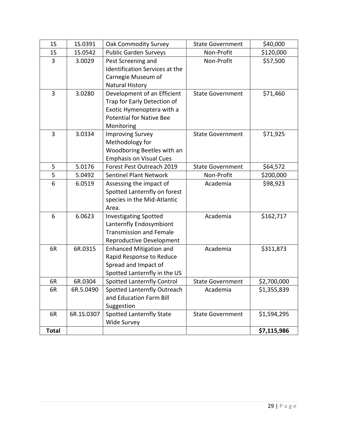| 1 <sub>S</sub> | 1S.0391    | Oak Commodity Survey              | <b>State Government</b> | \$40,000    |
|----------------|------------|-----------------------------------|-------------------------|-------------|
| 1S             | 1S.0542    | <b>Public Garden Surveys</b>      | Non-Profit              | \$120,000   |
| 3              | 3.0029     | Pest Screening and                | Non-Profit              | \$57,500    |
|                |            | Identification Services at the    |                         |             |
|                |            | Carnegie Museum of                |                         |             |
|                |            | Natural History                   |                         |             |
| 3              | 3.0280     | Development of an Efficient       | <b>State Government</b> | \$71,460    |
|                |            | Trap for Early Detection of       |                         |             |
|                |            | Exotic Hymenoptera with a         |                         |             |
|                |            | <b>Potential for Native Bee</b>   |                         |             |
|                |            | Monitoring                        |                         |             |
| 3              | 3.0334     | <b>Improving Survey</b>           | <b>State Government</b> | \$71,925    |
|                |            | Methodology for                   |                         |             |
|                |            | Woodboring Beetles with an        |                         |             |
|                |            | <b>Emphasis on Visual Cues</b>    |                         |             |
| 5              | 5.0176     | Forest Pest Outreach 2019         | <b>State Government</b> | \$64,572    |
| 5              | 5.0492     | <b>Sentinel Plant Network</b>     | Non-Profit              | \$200,000   |
| 6              | 6.0519     | Assessing the impact of           | Academia                | \$98,923    |
|                |            | Spotted Lanternfly on forest      |                         |             |
|                |            | species in the Mid-Atlantic       |                         |             |
|                |            | Area.                             |                         |             |
| 6              | 6.0623     | <b>Investigating Spotted</b>      | Academia                | \$162,717   |
|                |            | Lanternfly Endosymbiont           |                         |             |
|                |            | <b>Transmission and Female</b>    |                         |             |
|                |            | Reproductive Development          |                         |             |
| 6R             | 6R.0315    | <b>Enhanced Mitigation and</b>    | Academia                | \$311,873   |
|                |            | Rapid Response to Reduce          |                         |             |
|                |            | Spread and Impact of              |                         |             |
|                |            | Spotted Lanternfly in the US      |                         |             |
| 6R             | 6R.0304    | <b>Spotted Lanternfly Control</b> | <b>State Government</b> | \$2,700,000 |
| 6R             | 6R.5.0490  | Spotted Lanternfly Outreach       | Academia                | \$1,355,839 |
|                |            | and Education Farm Bill           |                         |             |
|                |            | Suggestion                        |                         |             |
| 6R             | 6R.1S.0307 | <b>Spotted Lanternfly State</b>   | <b>State Government</b> | \$1,594,295 |
|                |            | <b>Wide Survey</b>                |                         |             |
| <b>Total</b>   |            |                                   |                         | \$7,115,986 |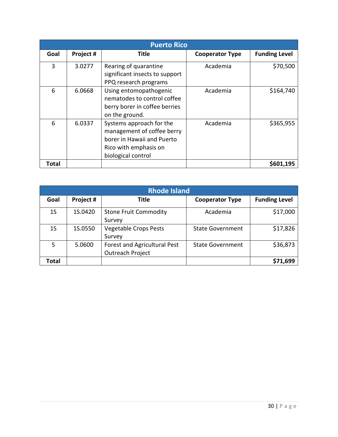|       | <b>Puerto Rico</b> |                                                                                                                                     |                        |                      |  |
|-------|--------------------|-------------------------------------------------------------------------------------------------------------------------------------|------------------------|----------------------|--|
| Goal  | Project #          | Title                                                                                                                               | <b>Cooperator Type</b> | <b>Funding Level</b> |  |
| 3     | 3.0277             | Rearing of quarantine<br>significant insects to support<br>PPQ research programs                                                    | Academia               | \$70,500             |  |
| 6     | 6.0668             | Using entomopathogenic<br>nematodes to control coffee<br>berry borer in coffee berries<br>on the ground.                            | Academia               | \$164,740            |  |
| 6     | 6.0337             | Systems approach for the<br>management of coffee berry<br>borer in Hawaii and Puerto<br>Rico with emphasis on<br>biological control | Academia               | \$365,955            |  |
| Total |                    |                                                                                                                                     |                        | \$601,195            |  |

| <b>Rhode Island</b> |           |                                                  |                         |                      |
|---------------------|-----------|--------------------------------------------------|-------------------------|----------------------|
| Goal                | Project # | <b>Title</b>                                     | <b>Cooperator Type</b>  | <b>Funding Level</b> |
| 1 <sub>S</sub>      | 1S.0420   | <b>Stone Fruit Commodity</b><br>Survey           | Academia                | \$17,000             |
| 1 <sub>S</sub>      | 1S.0550   | <b>Vegetable Crops Pests</b><br>Survey           | <b>State Government</b> | \$17,826             |
| 5                   | 5.0600    | Forest and Agricultural Pest<br>Outreach Project | <b>State Government</b> | \$36,873             |
| Total               |           |                                                  |                         | \$71,699             |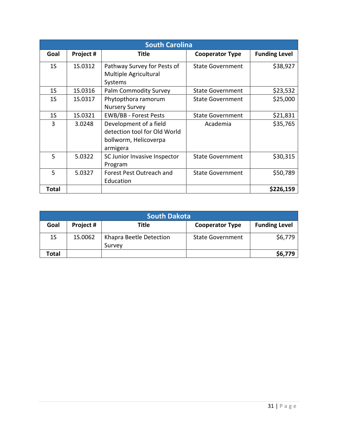|                | <b>South Carolina</b> |                                                                                             |                         |                      |  |
|----------------|-----------------------|---------------------------------------------------------------------------------------------|-------------------------|----------------------|--|
| Goal           | Project #             | <b>Title</b>                                                                                | <b>Cooperator Type</b>  | <b>Funding Level</b> |  |
| 1S             | 1S.0312               | Pathway Survey for Pests of<br>Multiple Agricultural<br>Systems                             | <b>State Government</b> | \$38,927             |  |
| 1S             | 1S.0316               | Palm Commodity Survey                                                                       | <b>State Government</b> | \$23,532             |  |
| 1 <sub>S</sub> | 1S.0317               | Phytopthora ramorum<br><b>Nursery Survey</b>                                                | <b>State Government</b> | \$25,000             |  |
| 1 <sub>S</sub> | 1S.0321               | <b>EWB/BB - Forest Pests</b>                                                                | <b>State Government</b> | \$21,831             |  |
| 3              | 3.0248                | Development of a field<br>detection tool for Old World<br>bollworm, Helicoverpa<br>armigera | Academia                | \$35,765             |  |
| 5              | 5.0322                | SC Junior Invasive Inspector<br>Program                                                     | <b>State Government</b> | \$30,315             |  |
| 5              | 5.0327                | Forest Pest Outreach and<br>Education                                                       | <b>State Government</b> | \$50,789             |  |
| Total          |                       |                                                                                             |                         | \$226,159            |  |

| <b>South Dakota</b> |           |                                   |                         |                      |
|---------------------|-----------|-----------------------------------|-------------------------|----------------------|
| Goal                | Project # | Title                             | <b>Cooperator Type</b>  | <b>Funding Level</b> |
| 1S                  | 1S.0062   | Khapra Beetle Detection<br>Survey | <b>State Government</b> | \$6,779              |
| Total               |           |                                   |                         | \$6,779              |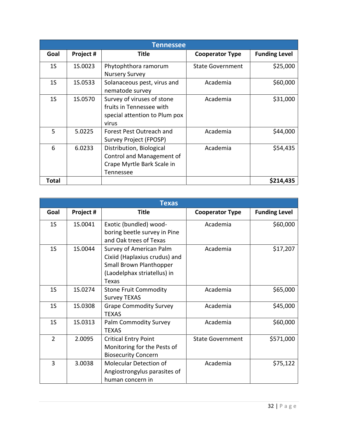|                | <b>Tennessee</b> |                                                                                                  |                         |                      |  |
|----------------|------------------|--------------------------------------------------------------------------------------------------|-------------------------|----------------------|--|
| Goal           | Project #        | Title                                                                                            | <b>Cooperator Type</b>  | <b>Funding Level</b> |  |
| 1 <sub>S</sub> | 1S.0023          | Phytophthora ramorum<br><b>Nursery Survey</b>                                                    | <b>State Government</b> | \$25,000             |  |
| 1 <sub>S</sub> | 1S.0533          | Solanaceous pest, virus and<br>nematode survey                                                   | Academia                | \$60,000             |  |
| 1S             | 1S.0570          | Survey of viruses of stone<br>fruits in Tennessee with<br>special attention to Plum pox<br>virus | Academia                | \$31,000             |  |
| 5              | 5.0225           | Forest Pest Outreach and<br>Survey Project (FPOSP)                                               | Academia                | \$44,000             |  |
| 6              | 6.0233           | Distribution, Biological<br>Control and Management of<br>Crape Myrtle Bark Scale in<br>Tennessee | Academia                | \$54,435             |  |
| Total          |                  |                                                                                                  |                         | \$214,435            |  |

| <b>Texas</b>   |           |                                                                                                                             |                         |                      |
|----------------|-----------|-----------------------------------------------------------------------------------------------------------------------------|-------------------------|----------------------|
| Goal           | Project # | <b>Title</b>                                                                                                                | <b>Cooperator Type</b>  | <b>Funding Level</b> |
| 1 <sub>S</sub> | 1S.0041   | Exotic (bundled) wood-<br>boring beetle survey in Pine<br>and Oak trees of Texas                                            | Academia                | \$60,000             |
| 1 <sub>S</sub> | 1S.0044   | Survey of American Palm<br>Cixiid (Haplaxius crudus) and<br>Small Brown Planthopper<br>(Laodelphax striatellus) in<br>Texas | Academia                | \$17,207             |
| 1 <sub>S</sub> | 1S.0274   | <b>Stone Fruit Commodity</b><br><b>Survey TEXAS</b>                                                                         | Academia                | \$65,000             |
| 1 <sub>S</sub> | 1S.0308   | <b>Grape Commodity Survey</b><br><b>TEXAS</b>                                                                               | Academia                | \$45,000             |
| 1 <sub>S</sub> | 1S.0313   | <b>Palm Commodity Survey</b><br><b>TEXAS</b>                                                                                | Academia                | \$60,000             |
| $\overline{2}$ | 2.0095    | <b>Critical Entry Point</b><br>Monitoring for the Pests of<br><b>Biosecurity Concern</b>                                    | <b>State Government</b> | \$571,000            |
| 3              | 3.0038    | <b>Molecular Detection of</b><br>Angiostrongylus parasites of<br>human concern in                                           | Academia                | \$75,122             |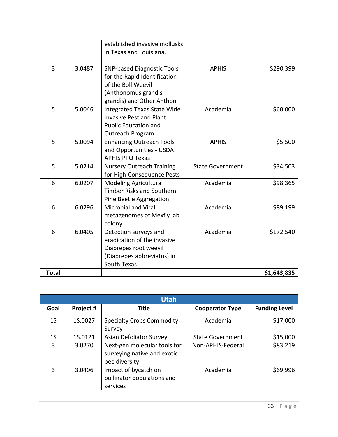|              |        | established invasive mollusks<br>in Texas and Louisiana.                                                                                    |                         |             |
|--------------|--------|---------------------------------------------------------------------------------------------------------------------------------------------|-------------------------|-------------|
| 3            | 3.0487 | <b>SNP-based Diagnostic Tools</b><br>for the Rapid Identification<br>of the Boll Weevil<br>(Anthonomus grandis<br>grandis) and Other Anthon | <b>APHIS</b>            | \$290,399   |
| 5            | 5.0046 | <b>Integrated Texas State Wide</b><br><b>Invasive Pest and Plant</b><br><b>Public Education and</b><br>Outreach Program                     | Academia                | \$60,000    |
| 5            | 5.0094 | <b>Enhancing Outreach Tools</b><br>and Opportunities - USDA<br><b>APHIS PPQ Texas</b>                                                       | <b>APHIS</b>            | \$5,500     |
| 5            | 5.0214 | <b>Nursery Outreach Training</b><br>for High-Consequence Pests                                                                              | <b>State Government</b> | \$34,503    |
| 6            | 6.0207 | <b>Modeling Agricultural</b><br><b>Timber Risks and Southern</b><br>Pine Beetle Aggregation                                                 | Academia                | \$98,365    |
| 6            | 6.0296 | <b>Microbial and Viral</b><br>metagenomes of Mexfly lab<br>colony                                                                           | Academia                | \$89,199    |
| 6            | 6.0405 | Detection surveys and<br>eradication of the invasive<br>Diaprepes root weevil<br>(Diaprepes abbreviatus) in<br>South Texas                  | Academia                | \$172,540   |
| <b>Total</b> |        |                                                                                                                                             |                         | \$1,643,835 |

|                |           | <b>Utah</b>                                                                  |                         |                      |
|----------------|-----------|------------------------------------------------------------------------------|-------------------------|----------------------|
| Goal           | Project # | Title                                                                        | <b>Cooperator Type</b>  | <b>Funding Level</b> |
| 1 <sub>S</sub> | 1S.0027   | <b>Specialty Crops Commodity</b><br>Survey                                   | Academia                | \$17,000             |
| 1 <sub>S</sub> | 1S.0121   | Asian Defoliator Survey                                                      | <b>State Government</b> | \$15,000             |
| 3              | 3.0270    | Next-gen molecular tools for<br>surveying native and exotic<br>bee diversity | Non-APHIS-Federal       | \$83,219             |
| 3              | 3.0406    | Impact of bycatch on<br>pollinator populations and<br>services               | Academia                | \$69,996             |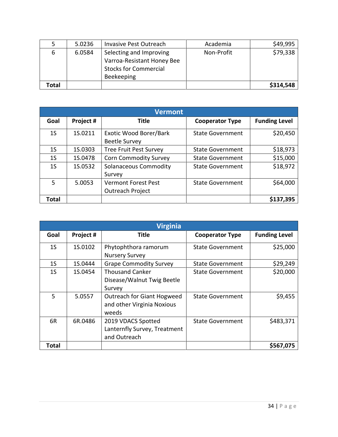|       | 5.0236 | <b>Invasive Pest Outreach</b> | Academia   | \$49,995  |
|-------|--------|-------------------------------|------------|-----------|
| b     | 6.0584 | Selecting and Improving       | Non-Profit | \$79,338  |
|       |        | Varroa-Resistant Honey Bee    |            |           |
|       |        | <b>Stocks for Commercial</b>  |            |           |
|       |        | Beekeeping                    |            |           |
| Total |        |                               |            | \$314,548 |

|                | <b>Vermont</b> |                                                |                         |                      |  |
|----------------|----------------|------------------------------------------------|-------------------------|----------------------|--|
| Goal           | Project #      | <b>Title</b>                                   | <b>Cooperator Type</b>  | <b>Funding Level</b> |  |
| 1 <sub>S</sub> | 1S.0211        | Exotic Wood Borer/Bark<br><b>Beetle Survey</b> | <b>State Government</b> | \$20,450             |  |
| 1S             | 1S.0303        | <b>Tree Fruit Pest Survey</b>                  | <b>State Government</b> | \$18,973             |  |
| 1 <sub>S</sub> | 1S.0478        | <b>Corn Commodity Survey</b>                   | <b>State Government</b> | \$15,000             |  |
| 1 <sub>S</sub> | 1S.0532        | <b>Solanaceous Commodity</b><br>Survey         | <b>State Government</b> | \$18,972             |  |
| 5              | 5.0053         | <b>Vermont Forest Pest</b><br>Outreach Project | <b>State Government</b> | \$64,000             |  |
| Total          |                |                                                |                         | \$137,395            |  |

|                | <b>Virginia</b> |                                                                          |                         |                      |  |
|----------------|-----------------|--------------------------------------------------------------------------|-------------------------|----------------------|--|
| Goal           | Project #       | Title                                                                    | <b>Cooperator Type</b>  | <b>Funding Level</b> |  |
| 1 <sub>S</sub> | 1S.0102         | Phytophthora ramorum<br><b>Nursery Survey</b>                            | <b>State Government</b> | \$25,000             |  |
| 1 <sub>S</sub> | 1S.0444         | <b>Grape Commodity Survey</b>                                            | <b>State Government</b> | \$29,249             |  |
| 1 <sub>S</sub> | 1S.0454         | <b>Thousand Canker</b><br>Disease/Walnut Twig Beetle<br>Survey           | <b>State Government</b> | \$20,000             |  |
| 5              | 5.0557          | <b>Outreach for Giant Hogweed</b><br>and other Virginia Noxious<br>weeds | <b>State Government</b> | \$9,455              |  |
| 6R             | 6R.0486         | 2019 VDACS Spotted<br>Lanternfly Survey, Treatment<br>and Outreach       | <b>State Government</b> | \$483,371            |  |
| Total          |                 |                                                                          |                         | \$567,075            |  |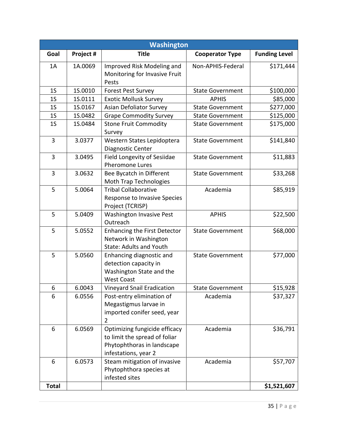|                | <b>Washington</b> |                                        |                         |                      |  |
|----------------|-------------------|----------------------------------------|-------------------------|----------------------|--|
| Goal           | Project #         | <b>Title</b>                           | <b>Cooperator Type</b>  | <b>Funding Level</b> |  |
| 1A             | 1A.0069           | Improved Risk Modeling and             | Non-APHIS-Federal       | \$171,444            |  |
|                |                   | Monitoring for Invasive Fruit<br>Pests |                         |                      |  |
| 1 <sub>S</sub> | 1S.0010           | <b>Forest Pest Survey</b>              | <b>State Government</b> | \$100,000            |  |
| 1 <sub>S</sub> | 1S.0111           | <b>Exotic Mollusk Survey</b>           | <b>APHIS</b>            | \$85,000             |  |
| 1 <sub>S</sub> | 1S.0167           | <b>Asian Defoliator Survey</b>         | <b>State Government</b> | \$277,000            |  |
| 1 <sub>S</sub> | 1S.0482           | <b>Grape Commodity Survey</b>          | <b>State Government</b> | \$125,000            |  |
| 1 <sub>S</sub> | 1S.0484           | <b>Stone Fruit Commodity</b>           | <b>State Government</b> | \$175,000            |  |
|                |                   | Survey                                 |                         |                      |  |
| 3              | 3.0377            | Western States Lepidoptera             | <b>State Government</b> | \$141,840            |  |
|                |                   | Diagnostic Center                      |                         |                      |  |
| 3              | 3.0495            | Field Longevity of Sesiidae            | <b>State Government</b> | \$11,883             |  |
|                |                   | <b>Pheromone Lures</b>                 |                         |                      |  |
| 3              | 3.0632            | Bee Bycatch in Different               | <b>State Government</b> | \$33,268             |  |
|                |                   | <b>Moth Trap Technologies</b>          |                         |                      |  |
| 5              | 5.0064            | <b>Tribal Collaborative</b>            | Academia                | \$85,919             |  |
|                |                   | Response to Invasive Species           |                         |                      |  |
|                |                   | Project (TCRISP)                       |                         |                      |  |
| 5              | 5.0409            | <b>Washington Invasive Pest</b>        | <b>APHIS</b>            | \$22,500             |  |
|                |                   | Outreach                               |                         |                      |  |
| 5              | 5.0552            | <b>Enhancing the First Detector</b>    | <b>State Government</b> | \$68,000             |  |
|                |                   | Network in Washington                  |                         |                      |  |
|                |                   | <b>State: Adults and Youth</b>         |                         |                      |  |
| 5              | 5.0560            | Enhancing diagnostic and               | <b>State Government</b> | \$77,000             |  |
|                |                   | detection capacity in                  |                         |                      |  |
|                |                   | Washington State and the               |                         |                      |  |
|                |                   | <b>West Coast</b>                      |                         |                      |  |
| 6              | 6.0043            | <b>Vineyard Snail Eradication</b>      | <b>State Government</b> | \$15,928             |  |
| 6              | 6.0556            | Post-entry elimination of              | Academia                | \$37,327             |  |
|                |                   | Megastigmus larvae in                  |                         |                      |  |
|                |                   | imported conifer seed, year            |                         |                      |  |
|                |                   | 2                                      |                         |                      |  |
| 6              | 6.0569            | Optimizing fungicide efficacy          | Academia                | \$36,791             |  |
|                |                   | to limit the spread of foliar          |                         |                      |  |
|                |                   | Phytophthoras in landscape             |                         |                      |  |
|                |                   | infestations, year 2                   |                         |                      |  |
| 6              | 6.0573            | Steam mitigation of invasive           | Academia                | \$57,707             |  |
|                |                   | Phytophthora species at                |                         |                      |  |
|                |                   | infested sites                         |                         |                      |  |
| <b>Total</b>   |                   |                                        |                         | \$1,521,607          |  |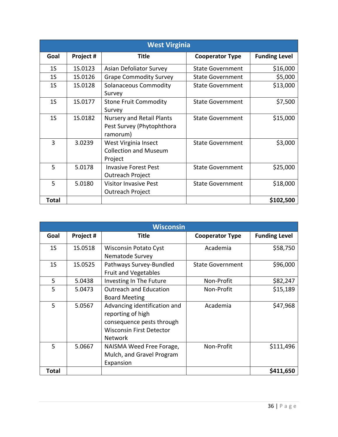|                | <b>West Virginia</b> |                                                                           |                         |                      |  |
|----------------|----------------------|---------------------------------------------------------------------------|-------------------------|----------------------|--|
| Goal           | Project #            | <b>Title</b>                                                              | <b>Cooperator Type</b>  | <b>Funding Level</b> |  |
| 1 <sub>S</sub> | 1S.0123              | Asian Defoliator Survey                                                   | <b>State Government</b> | \$16,000             |  |
| 1 <sub>S</sub> | 1S.0126              | <b>Grape Commodity Survey</b>                                             | <b>State Government</b> | \$5,000              |  |
| 1 <sub>S</sub> | 1S.0128              | Solanaceous Commodity<br>Survey                                           | <b>State Government</b> | \$13,000             |  |
| 1 <sub>S</sub> | 1S.0177              | <b>Stone Fruit Commodity</b><br>Survey                                    | <b>State Government</b> | \$7,500              |  |
| 1 <sub>S</sub> | 1S.0182              | <b>Nursery and Retail Plants</b><br>Pest Survey (Phytophthora<br>ramorum) | <b>State Government</b> | \$15,000             |  |
| 3              | 3.0239               | West Virginia Insect<br><b>Collection and Museum</b><br>Project           | <b>State Government</b> | \$3,000              |  |
| 5              | 5.0178               | <b>Invasive Forest Pest</b><br><b>Outreach Project</b>                    | <b>State Government</b> | \$25,000             |  |
| 5              | 5.0180               | <b>Visitor Invasive Pest</b><br>Outreach Project                          | <b>State Government</b> | \$18,000             |  |
| Total          |                      |                                                                           |                         | \$102,500            |  |

|                | <b>Wisconsin</b> |                                                                                                                                     |                         |                      |  |
|----------------|------------------|-------------------------------------------------------------------------------------------------------------------------------------|-------------------------|----------------------|--|
| Goal           | Project #        | <b>Title</b>                                                                                                                        | <b>Cooperator Type</b>  | <b>Funding Level</b> |  |
| 1 <sub>S</sub> | 1S.0518          | <b>Wisconsin Potato Cyst</b><br>Nematode Survey                                                                                     | Academia                | \$58,750             |  |
| 1 <sub>S</sub> | 1S.0525          | Pathways Survey-Bundled<br><b>Fruit and Vegetables</b>                                                                              | <b>State Government</b> | \$96,000             |  |
| 5              | 5.0438           | Investing In The Future                                                                                                             | Non-Profit              | \$82,247             |  |
| 5              | 5.0473           | <b>Outreach and Education</b><br><b>Board Meeting</b>                                                                               | Non-Profit              | \$15,189             |  |
| 5              | 5.0567           | Advancing identification and<br>reporting of high<br>consequence pests through<br><b>Wisconsin First Detector</b><br><b>Network</b> | Academia                | \$47,968             |  |
| 5              | 5.0667           | NAISMA Weed Free Forage,<br>Mulch, and Gravel Program<br>Expansion                                                                  | Non-Profit              | \$111,496            |  |
| <b>Total</b>   |                  |                                                                                                                                     |                         | \$411,650            |  |